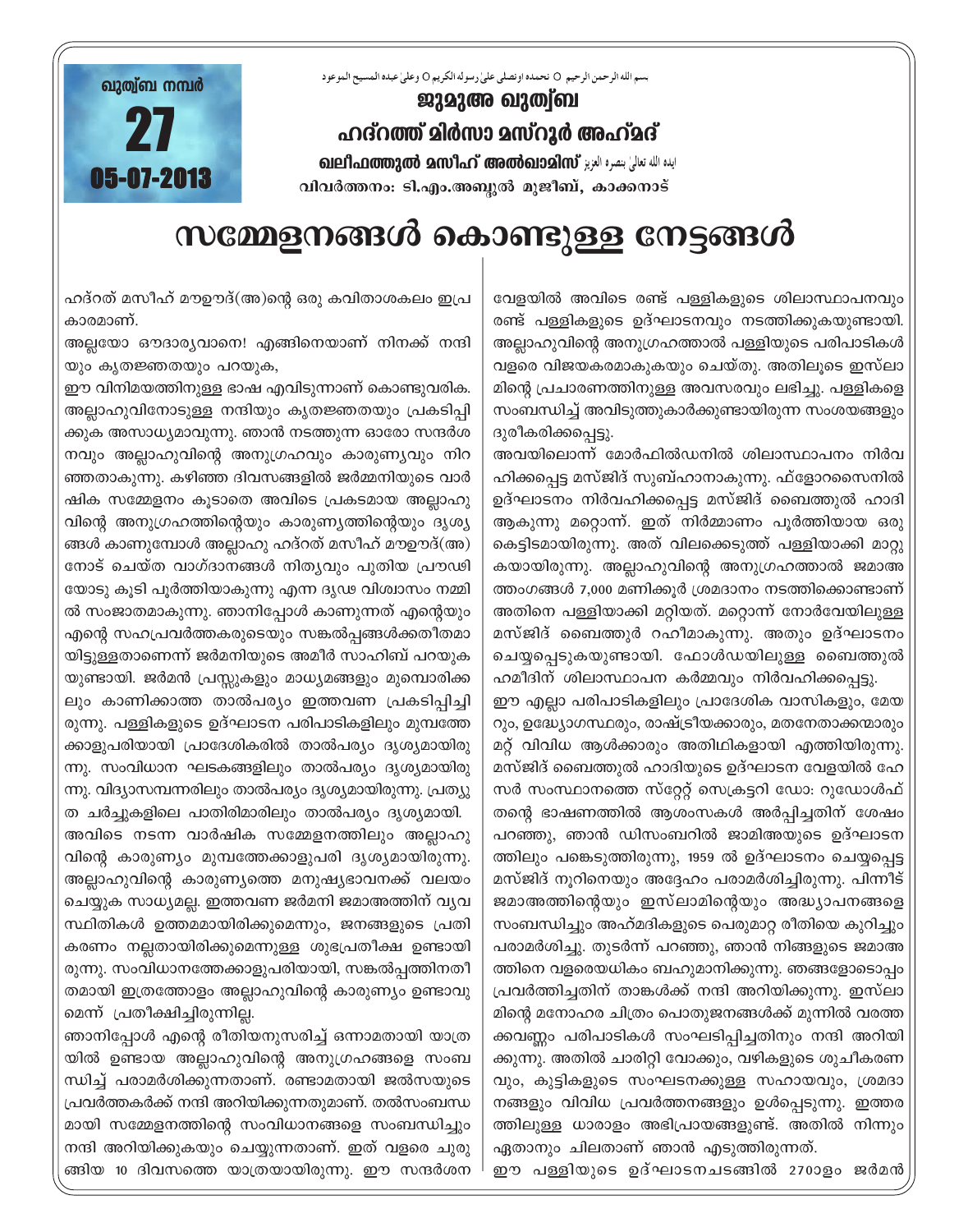بسم الله الرحمن الرحيم O نحمده اونصلي على رسوله الكريم O وعلى عبده المسيح الموعود



## ജുമുഅ ഖുത്വ്ബ ഹദ്റത്ത് മിർസാ മസ്റൂർ അഹ്മദ് வലிഫത്തുൽ മസിഹ് അൽഖാമിസ് رابله الله تعالى ابنده الله عالى വിവർത്തനം: ടി.എം.അബ്ദുൽ മുജീബ്, കാക്കനാട്

സമ്മേളനങ്ങൾ കൊണ്ടുള്ള നേട്ടങ്ങൾ

ഹദ്റത് മസീഹ് മൗഊദ്(അ)ന്റെ ഒരു കവിതാശകലം ഇപ്ര കാരമാണ്.

അല്ലയോ ഔദാര്യവാനെ! എങ്ങിനെയാണ് നിനക്ക് നന്ദി യും കൃതജ്ഞതയും പറയുക,

ഈ വിനിമയത്തിനുള്ള ഭാഷ എവിടുന്നാണ് കൊണ്ടുവരിക. അല്ലാഹുവിനോടുള്ള നന്ദിയും കൃതജ്ഞതയും പ്രകടിപ്പി ക്കുക അസാധ്യമാവുന്നു. ഞാൻ നടത്തുന്ന ഓരോ സന്ദർശ നവും അല്ലാഹുവിന്റെ അനുഗ്രഹവും കാരുണ്യവും നിറ ഞ്ഞതാകുന്നു. കഴിഞ്ഞ ദിവസങ്ങളിൽ ജർമ്മനിയുടെ വാർ ഷിക സമ്മേളനം കൂടാതെ അവിടെ പ്രകടമായ അല്ലാഹു വിന്റെ അനുഗ്രഹത്തിന്റെയും കാരുണ്യത്തിന്റെയും ദൃശ്യ ങ്ങൾ കാണുമ്പോൾ അല്ലാഹു ഹദ്റത് മസീഹ് മൗഊദ്(അ) നോട് ചെയ്ത വാഗ്ദാനങ്ങൾ നിത്യവും പുതിയ പ്രൗഢി യോടു കൂടി പൂർത്തിയാകുന്നു എന്ന ദൃഢ വിശ്വാസം നമ്മി ൽ സംജാതമാകുന്നു. ഞാനിപ്പോൾ കാണുന്നത് എന്റെയും എന്റെ സഹപ്രവർത്തകരുടെയും സങ്കൽപ്പങ്ങൾക്കതീതമാ യിട്ടുള്ളതാണെന്ന് ജർമനിയുടെ അമീർ സാഹിബ് പറയുക യുണ്ടായി. ജർമൻ പ്രസ്സുകളും മാധ്യമങ്ങളും മുമ്പൊരിക്ക ലും കാണിക്കാത്ത താൽപര്യം ഇത്തവണ പ്രകടിപ്പിച്ചി രുന്നു. പള്ളികളുടെ ഉദ്ഘാടന പരിപാടികളിലും മുമ്പത്തേ ക്കാളുപരിയായി പ്രാദേശികരിൽ താൽപര്യം ദൃശ്യമായിരു ന്നു. സംവിധാന ഘടകങ്ങളിലും താൽപര്യം ദൃശ്യമായിരു ന്നു. വിദ്യാസമ്പന്നരിലും താൽപര്യം ദൃശ്യമായിരുന്നു. പ്രത്യു ത ചർച്ചുകളിലെ പാതിരിമാരിലും താൽപര്യം ദൃശ്യമായി.

അവിടെ നടന്ന വാർഷിക സമ്മേളനത്തിലും അല്ലാഹു വിന്റെ കാരുണ്യം മുമ്പത്തേക്കാളുപരി ദൃശ്യമായിരുന്നു. അല്ലാഹുവിന്റെ കാരുണ്യത്തെ മനുഷ്യഭാവനക്ക് വലയം ചെയ്യുക സാധ്യമല്ല. ഇത്തവണ ജർമനി ജമാഅത്തിന് വ്യവ സ്ഥിതികൾ ഉത്തമമായിരിക്കുമെന്നും, ജനങ്ങളുടെ പ്രതി കരണം നല്ലതായിരിക്കുമെന്നുള്ള ശുഭപ്രതീക്ഷ ഉണ്ടായി രുന്നു. സംവിധാനത്തേക്കാളുപരിയായി, സങ്കൽപ്പത്തിനതീ തമായി ഇത്രത്തോളം അല്ലാഹുവിന്റെ കാരുണ്യം ഉണ്ടാവു മെന്ന് പ്രതീക്ഷിച്ചിരുന്നില്ല.

ഞാനിപ്പോൾ എന്റെ രീതിയനുസരിച്ച് ഒന്നാമതായി യാത്ര യിൽ ഉണ്ടായ അല്ലാഹുവിന്റെ അനുഗ്രഹങ്ങളെ സംബ ന്ധിച്ച് പരാമർശിക്കുന്നതാണ്. രണ്ടാമതായി ജൽസയുടെ പ്രവർത്തകർക്ക് നന്ദി അറിയിക്കുന്നതുമാണ്. തൽസംബന്ധ മായി സമ്മേളനത്തിന്റെ സംവിധാനങ്ങളെ സംബന്ധിച്ചും നന്ദി അറിയിക്കുകയും ചെയ്യുന്നതാണ്. ഇത് വളരെ ചുരു ങ്ങിയ 10 ദിവസത്തെ യാത്രയായിരുന്നു. ഈ സന്ദർശന

വേളയിൽ അവിടെ രണ്ട് പള്ളികളുടെ ശിലാസ്ഥാപനവും രണ്ട് പള്ളികളുടെ ഉദ്ഘാടനവും നടത്തിക്കുകയുണ്ടായി. അല്ലാഹുവിന്റെ അനുഗ്രഹത്താൽ പള്ളിയുടെ പരിപാടികൾ വളരെ വിജയകരമാകുകയും ചെയ്തു. അതിലൂടെ ഇസ്ലാ മിന്റെ പ്രചാരണത്തിനുള്ള അവസരവും ലഭിച്ചു. പള്ളികളെ സംബന്ധിച്ച് അവിടുത്തുകാർക്കുണ്ടായിരുന്ന സംശയങ്ങളും ദുരീകരിക്കപ്പെട്ടു.

അവയിലൊന്ന് മോർഫിൽഡനിൽ ശിലാസ്ഥാപനം നിർവ ഹിക്കപ്പെട്ട മസ്ജിദ് സുബ്ഹാനാകുന്നു. ഫ്ളോറസൈനിൽ ഉദ്ഘാടനം നിർവഹിക്കപ്പെട്ട മസ്ജിദ് ബൈത്തുൽ ഹാദി ആകുന്നു മറ്റൊന്ന്. ഇത് നിർമ്മാണം പൂർത്തിയായ ഒരു കെട്ടിമോയിരുന്നു. അത് വിലക്കെടുത്ത് പള്ളിയാക്കി മാറ്റു കയായിരുന്നു. അല്ലാഹുവിന്റെ അനുഗ്രഹത്താൽ ജമാഅ ത്തംഗങ്ങൾ 7,000 മണിക്കൂർ ശ്രമദാനം നടത്തിക്കൊണ്ടാണ് അതിനെ പള്ളിയാക്കി മറ്റിയത്. മറ്റൊന്ന് നോർവേയിലുള്ള മസ്ജിദ് ബൈത്തുർ റഹീമാകുന്നു. അതും ഉദ്ഘാടനം ചെയ്യപ്പെടുകയുണ്ടായി. ഫോൾഡയിലുള്ള ബൈത്തുൽ

ഹമീദിന് ശിലാസ്ഥാപന കർമ്മവും നിർവഹിക്കപ്പെട്ടു. ഈ എല്ലാ പരിപാടികളിലും പ്രാദേശിക വാസികളും, മേയ റും, ഉദ്ധ്യോഗസ്ഥരും, രാഷ്ട്രീയക്കാരും, മതനേതാക്കന്മാരും മറ്റ് വിവിധ ആൾക്കാരും അതിഥികളായി എത്തിയിരുന്നു. മസ്ജിദ് ബൈത്തുൽ ഹാദിയുടെ ഉദ്ഘാടന വേളയിൽ ഹേ സർ സംസ്ഥാനത്തെ സ്റ്റേറ്റ് സെക്രട്ടറി ഡോ: റുഡോൾഫ് തന്റെ ഭാഷണത്തിൽ ആശംസകൾ അർപ്പിച്ചതിന് ശേഷം പറഞ്ഞു, ഞാൻ ഡിസംബറിൽ ജാമിഅയുടെ ഉദ്ഘാടന ത്തിലും പങ്കെടുത്തിരുന്നു, 1959 ൽ ഉദ്ഘാടനം ചെയ്യപ്പെട്ട മസ്ജിദ് നൂറിനെയും അദ്ദേഹം പരാമർശിച്ചിരുന്നു. പിന്നീട് ജമാഅത്തിന്റെയും ഇസ്ലാമിന്റെയും അദ്ധ്യാപനങ്ങളെ സംബന്ധിച്ചും അഹ്മദികളുടെ പെരുമാറ്റ രീതിയെ കുറിച്ചും പരാമർശിച്ചു. തുടർന്ന് പറഞ്ഞു, ഞാൻ നിങ്ങളുടെ ജമാഅ ത്തിനെ വളരെയധികം ബഹുമാനിക്കുന്നു. ഞങ്ങളോടൊപ്പം പ്രവർത്തിച്ചതിന് താങ്കൾക്ക് നന്ദി അറിയിക്കുന്നു. ഇസ്ലാ മിന്റെ മനോഹര ചിത്രം പൊതുജനങ്ങൾക്ക് മുന്നിൽ വരത്ത ക്കവണ്ണം പരിപാടികൾ സംഘടിപ്പിച്ചതിനും നന്ദി അറിയി ക്കുന്നു. അതിൽ ചാരിറ്റി വോക്കും, വഴികളുടെ ശുചീകരണ വും, കുട്ടികളുടെ സംഘടനക്കുള്ള സഹായവും, ശ്രമദാ നങ്ങളും വിവിധ പ്രവർത്തനങ്ങളും ഉൾപ്പെടുന്നു. ഇത്തര ത്തിലുള്ള ധാരാളം അഭിപ്രായങ്ങളുണ്ട്. അതിൽ നിന്നും ഏതാനും ചിലതാണ് ഞാൻ എടുത്തിരുന്നത്.

ഈ പള്ളിയുടെ ഉദ്ഘാടനചടങ്ങിൽ 270ാളം ജർമൻ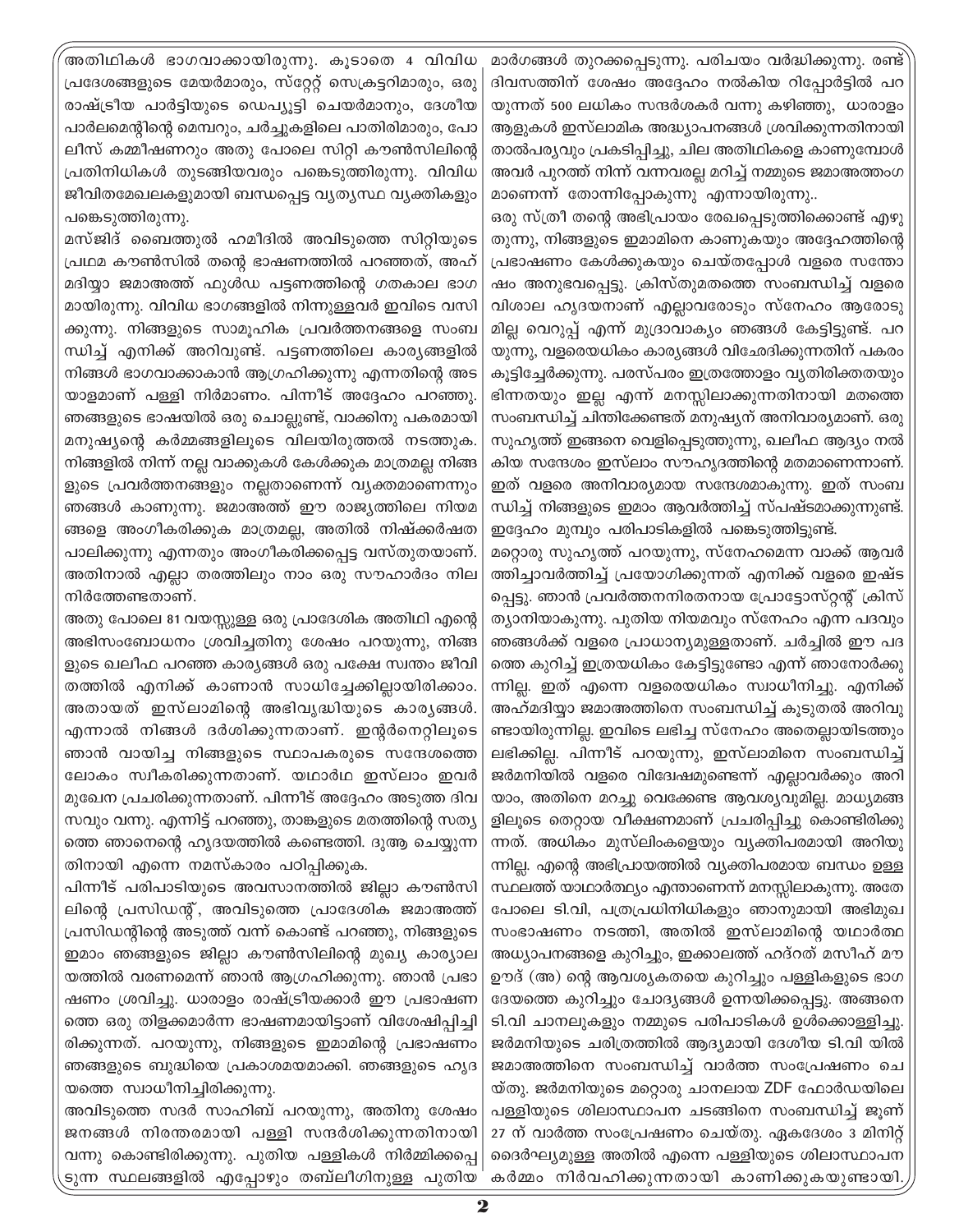അതിഥികൾ ഭാഗവാക്കായിരുന്നു. കൂടാതെ 4 വിവിധ പ്രദേശങ്ങളുടെ മേയർമാരും, സ്റ്റേറ്റ് സെക്രട്ടറിമാരും, ഒരു രാഷ്ട്രീയ പാർട്ടിയുടെ ഡെപ്യൂട്ടി ചെയർമാനും, ദേശീയ പാർലമെന്റിന്റെ മെമ്പറും, ചർച്ചുകളിലെ പാതിരിമാരും, പോ ലീസ് കമ്മീഷണറും അതു പോലെ സിറ്റി കൗൺസിലിന്റെ പ്രതിനിധികൾ തുടങ്ങിയവരും പങ്കെടുത്തിരുന്നു. വിവിധ ജീവിതമേഖലകളുമായി ബന്ധപ്പെട്ട വ്യതൃസ്ഥ വൃക്തികളും പങ്കെടുത്തിരുന്നു.

മസ്ജിദ് ബൈത്തുൽ ഹമീദിൽ അവിടുത്തെ സിറ്റിയുടെ പ്രഥമ കൗൺസിൽ തന്റെ ഭാഷണത്തിൽ പറഞ്ഞത്, അഹ് മദിയ്യാ ജമാഅത്ത് ഫുൾഡ പട്ടണത്തിന്റെ ഗതകാല ഭാഗ മായിരുന്നു. വിവിധ ഭാഗങ്ങളിൽ നിന്നുള്ളവർ ഇവിടെ വസി ക്കുന്നു. നിങ്ങളുടെ സാമൂഹിക പ്രവർത്തനങ്ങളെ സംബ ന്ധിച്ച് എനിക്ക് അറിവുണ്ട്. പട്ടണത്തിലെ കാര്യങ്ങളിൽ നിങ്ങൾ ഭാഗവാക്കാകാൻ ആഗ്രഹിക്കുന്നു എന്നതിന്റെ അട യാളമാണ് പള്ളി നിർമാണം. പിന്നീട് അദ്ദേഹം പറഞ്ഞു. ഞങ്ങളുടെ ഭാഷയിൽ ഒരു ചൊല്ലുണ്ട്, വാക്കിനു പകരമായി മനുഷ്യന്റെ കർമ്മങ്ങളിലുടെ വിലയിരുത്തൽ നടത്തുക. നിങ്ങളിൽ നിന്ന് നല്ല വാക്കുകൾ കേൾക്കുക മാത്രമല്ല നിങ്ങ ളുടെ പ്രവർത്തനങ്ങളും നല്ലതാണെന്ന് വ്യക്തമാണെന്നും ഞങ്ങൾ കാണുന്നു. ജമാഅത്ത് ഈ രാജ്യത്തിലെ നിയമ ങ്ങളെ അംഗീകരിക്കുക മാത്രമല്ല, അതിൽ നിഷ്ക്കർഷത പാലിക്കുന്നു എന്നതും അംഗീകരിക്കപ്പെട്ട വസ്തുതയാണ്. അതിനാൽ എല്ലാ തരത്തിലും നാം ഒരു സൗഹാർദം നില നിർത്തേണ്ടതാണ്.

അതു പോലെ 81 വയസ്സുള്ള ഒരു പ്രാദേശിക അതിഥി എന്റെ അഭിസംബോധനം ശ്രവിച്ചതിനു ശേഷം പറയുന്നു, നിങ്ങ ളുടെ ഖലീഫ പറഞ്ഞ കാര്യങ്ങൾ ഒരു പക്ഷേ സ്വന്തം ജീവി തത്തിൽ എനിക്ക് കാണാൻ സാധിച്ചേക്കില്ലായിരിക്കാം. അതായത് ഇസ്ലാമിന്റെ അഭിവൃദ്ധിയുടെ കാര്യങ്ങൾ. എന്നാൽ നിങ്ങൾ ദർശിക്കുന്നതാണ്. ഇന്റർനെറ്റിലൂടെ ഞാൻ വായിച്ച നിങ്ങളുടെ സ്ഥാപകരുടെ സന്ദേശത്തെ ലോകം സ്വീകരിക്കുന്നതാണ്. യഥാർഥ ഇസ്ലാം ഇവർ മുഖേന പ്രചരിക്കുന്നതാണ്. പിന്നീട് അദ്ദേഹം അടുത്ത ദിവ സവും വന്നു. എന്നിട്ട് പറഞ്ഞു, താങ്കളുടെ മതത്തിന്റെ സത്യ ത്തെ ഞാനെന്റെ ഹൃദയത്തിൽ കണ്ടെത്തി. ദുആ ചെയ്യുന്ന തിനായി എന്നെ നമസ്കാരം പഠിപ്പിക്കുക.

പിന്നീട് പരിപാടിയുടെ അവസാനത്തിൽ ജില്ലാ കൗൺസി ലിന്റെ പ്രസിഡന്റ്, അവിടുത്തെ പ്രാദേശിക ജമാഅത്ത് പ്രസിഡന്റിന്റെ അടുത്ത് വന്ന് കൊണ്ട് പറഞ്ഞു, നിങ്ങളുടെ ഇമാം ഞങ്ങളുടെ ജില്ലാ കൗൺസിലിന്റെ മുഖ്യ കാര്യാല യത്തിൽ വരണമെന്ന് ഞാൻ ആഗ്രഹിക്കുന്നു. ഞാൻ പ്രഭാ ഷണം ശ്രവിച്ചു. ധാരാളം രാഷ്ട്രീയക്കാർ ഈ പ്രഭാഷണ ത്തെ ഒരു തിളക്കമാർന്ന ഭാഷണമായിട്ടാണ് വിശേഷിപ്പിച്ചി രിക്കുന്നത്. പറയുന്നു, നിങ്ങളുടെ ഇമാമിന്റെ പ്രഭാഷണം ഞങ്ങളുടെ ബുദ്ധിയെ പ്രകാശമയമാക്കി. ഞങ്ങളുടെ ഹൃദ യത്തെ സ്വാധീനിച്ചിരിക്കുന്നു.

അവിടുത്തെ സദർ സാഹിബ് പറയുന്നു, അതിനു ശേഷം ജനങ്ങൾ നിരന്തരമായി പള്ളി സന്ദർശിക്കുന്നതിനായി വന്നു കൊണ്ടിരിക്കുന്നു. പുതിയ പള്ളികൾ നിർമ്മിക്കപ്പെ ടുന്ന സ്ഥലങ്ങളിൽ എപ്പോഴും തബ്ലീഗിനുള്ള പുതിയ

മാർഗങ്ങൾ തുറക്കപ്പെടുന്നു. പരിചയം വർദ്ധിക്കുന്നു. രണ്ട് ദിവസത്തിന് ശേഷം അദ്ദേഹം നൽകിയ റിപ്പോർട്ടിൽ പറ യുന്നത് 500 ലധികം സന്ദർശകർ വന്നു കഴിഞ്ഞു, ധാരാളം ആളുകൾ ഇസ്ലാമിക അദ്ധ്യാപനങ്ങൾ ശ്രവിക്കുന്നതിനായി താൽപര്യവും പ്രകടിപ്പിച്ചു, ചില അതിഥികളെ കാണുമ്പോൾ അവർ പുറത്ത് നിന്ന് വന്നവരല്ല മറിച്ച് നമ്മുടെ ജമാഅത്തംഗ മാണെന്ന് തോന്നിപ്പോകുന്നു എന്നായിരുന്നു..

ഒരു സ്ത്രീ തന്റെ അഭിപ്രായം രേഖപ്പെടുത്തിക്കൊണ്ട് എഴു തുന്നു, നിങ്ങളുടെ ഇമാമിനെ കാണുകയും അദ്ദേഹത്തിന്റെ പ്രഭാഷണം കേൾക്കുകയും ചെയ്തപ്പോൾ വളരെ സന്തോ ഷം അനുഭവപ്പെട്ടു. ക്രിസ്തുമതത്തെ സംബന്ധിച്ച് വളരെ വിശാല ഹൃദയനാണ് എല്ലാവരോടും സ്നേഹം ആരോടു മില്ല വെറുപ്പ് എന്ന് മുദ്രാവാക്യം ഞങ്ങൾ കേട്ടിട്ടുണ്ട്. പറ യുന്നു, വളരെയധികം കാര്യങ്ങൾ വിഛേദിക്കുന്നതിന് പകരം കൂട്ടിച്ചേർക്കുന്നു. പരസ്പരം ഇത്രത്തോളം വ്യതിരിക്തതയും ഭിന്നതയും ഇല്ല എന്ന് മനസ്സിലാക്കുന്നതിനായി മതത്തെ സംബന്ധിച്ച് ചിന്തിക്കേണ്ടത് മനുഷ്യന് അനിവാര്യമാണ്. ഒരു സുഹൃത്ത് ഇങ്ങനെ വെളിപ്പെടുത്തുന്നു, ഖലീഫ ആദ്യം നൽ കിയ സന്ദേശം ഇസ്ലാം സൗഹൃദത്തിന്റെ മതമാണെന്നാണ്. ഇത് വളരെ അനിവാര്യമായ സന്ദേശമാകുന്നു. ഇത് സംബ ന്ധിച്ച് നിങ്ങളുടെ ഇമാം ആവർത്തിച്ച് സ്പഷ്ടമാക്കുന്നുണ്ട്. ഇദ്ദേഹം മുമ്പും പരിപാടികളിൽ പങ്കെടുത്തിട്ടുണ്ട്.

മറ്റൊരു സുഹൃത്ത് പറയുന്നു, സ്നേഹമെന്ന വാക്ക് ആവർ ത്തിച്ചാവർത്തിച്ച് പ്രയോഗിക്കുന്നത് എനിക്ക് വളരെ ഇഷ്ട പ്പെട്ടു. ഞാൻ പ്രവർത്തനനിരതനായ പ്രോട്ടോസ്റ്റന്റ് ക്രിസ് ത്യാനിയാകുന്നു. പുതിയ നിയമവും സ്നേഹം എന്ന പദവും ഞങ്ങൾക്ക് വളരെ പ്രാധാന്യമുള്ളതാണ്. ചർച്ചിൽ ഈ പദ ത്തെ കുറിച്ച് ഇത്രയധികം കേട്ടിട്ടുണ്ടോ എന്ന് ഞാനോർക്കു ന്നില്ല. ഇത് എന്നെ വളരെയധികം സ്വാധീനിച്ചു. എനിക്ക് അഹ്മദിയ്യാ ജമാഅത്തിനെ സംബന്ധിച്ച് കുടുതൽ അറിവു ണ്ടായിരുന്നില്ല. ഇവിടെ ലഭിച്ച സ്നേഹം അതെല്ലായിടത്തും ലഭിക്കില്ല. പിന്നീട് പറയുന്നു, ഇസ്ലാമിനെ സംബന്ധിച്ച് ജർമനിയിൽ വളരെ വിദ്വേഷമുണ്ടെന്ന് എല്ലാവർക്കും അറി യാം, അതിനെ മറച്ചു വെക്കേണ്ട ആവശ്യവുമില്ല. മാധ്യമങ്ങ ളിലൂടെ തെറ്റായ വീക്ഷണമാണ് പ്രചരിപ്പിച്ചു കൊണ്ടിരിക്കു ന്നത്. അധികം മുസ്ലിംകളെയും വ്യക്തിപരമായി അറിയു ന്നില്ല. എന്റെ അഭിപ്രായത്തിൽ വ്യക്തിപരമായ ബന്ധം ഉള്ള സ്ഥലത്ത് യാഥാർത്ഥ്യം എന്താണെന്ന് മനസ്സിലാകുന്നു. അതേ പോലെ ടി.വി, പത്രപ്രധിനിധികളും ഞാനുമായി അഭിമുഖ സംഭാഷണം നടത്തി, അതിൽ ഇസ്ലാമിന്റെ യഥാർത്ഥ അധ്യാപനങ്ങളെ കുറിച്ചും, ഇക്കാലത്ത് ഹദ്റത് മസീഹ് മൗ ഊദ് (അ) ന്റെ ആവശ്യകതയെ കുറിച്ചും പള്ളികളുടെ ഭാഗ ദേയത്തെ കുറിച്ചും ചോദ്യങ്ങൾ ഉന്നയിക്കപ്പെട്ടു. അങ്ങനെ ടി.വി ചാനലുകളും നമ്മുടെ പരിപാടികൾ ഉൾക്കൊള്ളിച്ചു. ജർമനിയുടെ ചരിത്രത്തിൽ ആദ്യമായി ദേശീയ ടി.വി യിൽ ജമാഅത്തിനെ സംബന്ധിച്ച് വാർത്ത സംപ്രേഷണം ചെ യ്തു. ജർമനിയുടെ മറ്റൊരു ചാനലായ ZDF ഫോർഡയിലെ പള്ളിയുടെ ശിലാസ്ഥാപന ചടങ്ങിനെ സംബന്ധിച്ച് ജുണ് 27 ന് വാർത്ത സംപ്രേഷണം ചെയ്തു. ഏകദേശം 3 മിനിറ്റ് ദൈർഘ്യമുള്ള അതിൽ എന്നെ പള്ളിയുടെ ശിലാസ്ഥാപന കർമ്മം നിർവഹിക്കുന്നതായി കാണിക്കുകയുണ്ടായി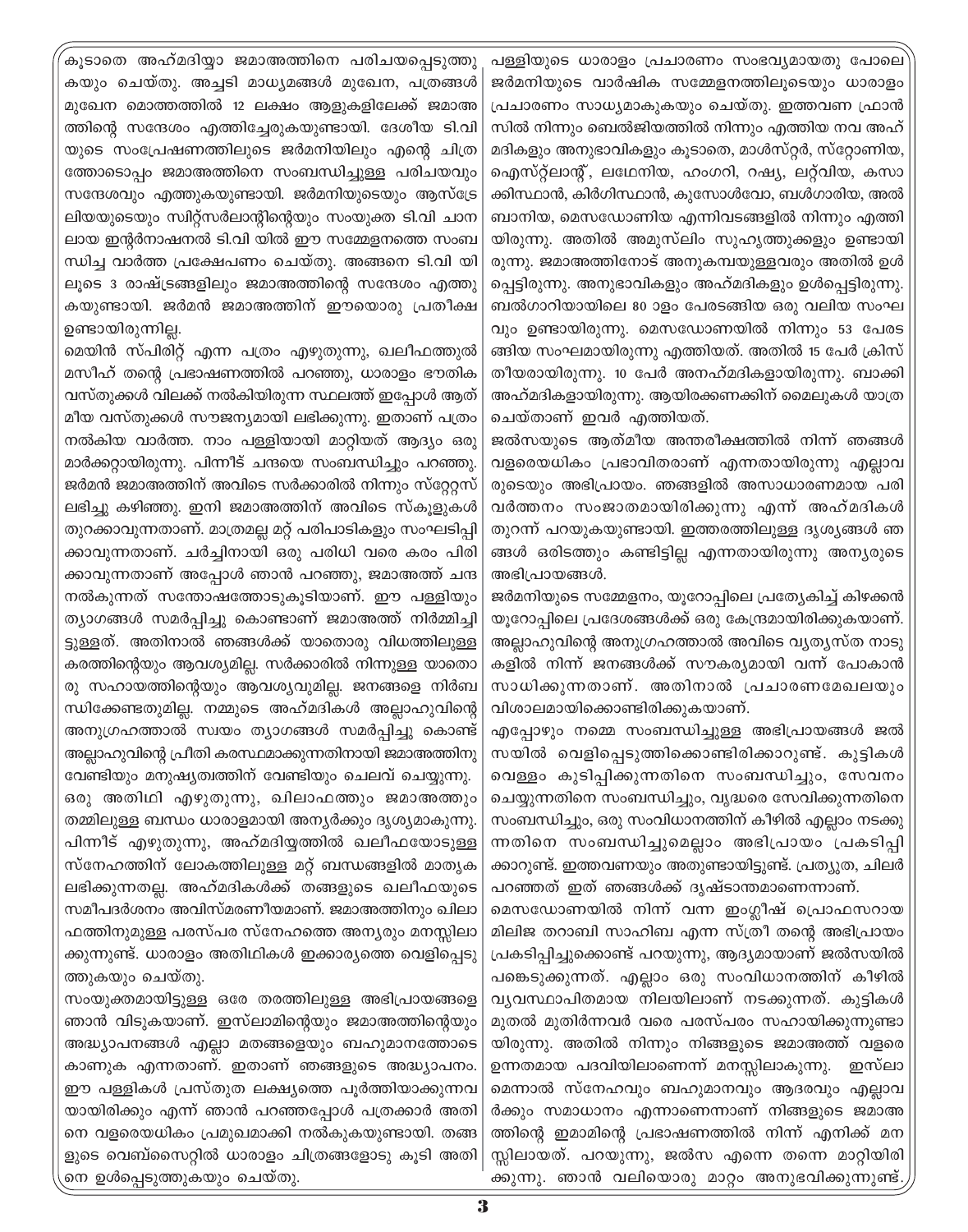കൂടാതെ അഹ്മദിയ്യാ ജമാഅത്തിനെ പരിചയപ്പെടുത്ത<mark>ു</mark> കയും ചെയ്തു. അച്ചടി മാധ്യമങ്ങൾ മുഖേന, പത്രങ്ങൾ മുഖേന മൊത്തത്തിൽ 12 ലക്ഷം ആളുകളിലേക്ക് ജമാഅ ത്തിന്റെ സന്ദേശം എത്തിച്ചേരുകയുണ്ടായി. ദേശീയ ടി.വി യുടെ സംപ്രേഷണത്തിലുടെ ജർമനിയിലും എന്റെ ചിത്ര ത്തോടൊപ്പം ജമാഅത്തിനെ സംബന്ധിച്ചുള്ള പരിചയവും സന്ദേശവും എത്തുകയുണ്ടായി. ജർമനിയുടെയും ആസ്ട്രേ ലിയയുടെയും സ്വിറ്റ്സർലാന്റിന്റെയും സംയുക്ത ടി.വി ചാന ലായ ഇന്റർനാഷനൽ ടി.വി യിൽ ഈ സമ്മേളനത്തെ സംബ ന്ധിച്ച വാർത്ത പ്രക്ഷേപണം ചെയ്തു. അങ്ങനെ ടി.വി യി ലൂടെ 3 രാഷ്ട്രങ്ങളിലും ജമാഅത്തിന്റെ സന്ദേശം എത്തു കയുണ്ടായി. ജർമൻ ജമാഅത്തിന് ഈയൊരു പ്രതീക്ഷ ഉണ്ടായിരുന്നില്ല.

മെയിൻ സ്പിരിറ്റ് എന്ന പത്രം എഴുതുന്നു, ഖലീഫത്തുൽ മസീഹ് തന്റെ പ്രഭാഷണത്തിൽ പറഞ്ഞു, ധാരാളം ഭൗതിക വസ്തുക്കൾ വിലക്ക് നൽകിയിരുന്ന സ്ഥലത്ത് ഇപ്പോൾ ആത് മീയ വസ്തുക്കൾ സൗജന്യമായി ലഭിക്കുന്നു. ഇതാണ് പത്രം നൽകിയ വാർത്ത. നാം പള്ളിയായി മാറ്റിയത് ആദ്യം ഒരു മാർക്കറ്റായിരുന്നു. പിന്നീട് ചന്ദയെ സംബന്ധിച്ചും പറഞ്ഞു. ജർമൻ ജമാഅത്തിന് അവിടെ സർക്കാരിൽ നിന്നും സ്റ്റേറ്റസ് ലഭിച്ചു കഴിഞ്ഞു. ഇനി ജമാഅത്തിന് അവിടെ സ്കൂളുകൾ തുറക്കാവുന്നതാണ്. മാത്രമല്ല മറ്റ് പരിപാടികളും സംഘടിപ്പി ക്കാവുന്നതാണ്. ചർച്ചിനായി ഒരു പരിധി വരെ കരം പിരി ക്കാവുന്നതാണ് അപ്പോൾ ഞാൻ പറഞ്ഞു, ജമാഅത്ത് ചന്ദ നൽകുന്നത് സന്തോഷത്തോടുകൂടിയാണ്. ഈ പള്ളിയും ത്യാഗങ്ങൾ സമർപ്പിച്ചു കൊണ്ടാണ് ജമാഅത്ത് നിർമ്മിച്ചി ട്ടുള്ളത്. അതിനാൽ ഞങ്ങൾക്ക് യാതൊരു വിധത്തിലുള്ള കരത്തിന്റെയും ആവശ്യമില്ല. സർക്കാരിൽ നിന്നുള്ള യാതൊ രു സഹായത്തിന്റെയും ആവശ്യവുമില്ല. ജനങ്ങളെ നിർബ ന്ധിക്കേണ്ടതുമില്ല. നമ്മുടെ അഹ്മദികൾ അല്ലാഹുവിന്റെ അനുഗ്രഹത്താൽ സ്വയം ത്യാഗങ്ങൾ സമർപ്പിച്ചു കൊണ്ട് അല്ലാഹുവിന്റെ പ്രീതി കരസ്ഥമാക്കുന്നതിനായി ജമാഅത്തിനു വേണ്ടിയും മനുഷ്യത്വത്തിന് വേണ്ടിയും ചെലവ് ചെയ്യുന്നു. ഒരു അതിഥി എഴുതുന്നു, ഖിലാഫത്തും ജമാഅത്തും തമ്മിലുള്ള ബന്ധം ധാരാളമായി അന്യർക്കും ദൃശ്യമാകുന്നു. പിന്നീട് എഴുതുന്നു, അഹ്മദിയ്യത്തിൽ ഖലീഫയോടുള്ള സ്നേഹത്തിന് ലോകത്തിലുള്ള മറ്റ് ബന്ധങ്ങളിൽ മാതൃക ലഭിക്കുന്നതല്ല. അഹ്മദികൾക്ക് തങ്ങളുടെ ഖലീഫയുടെ സമീപദർശനം അവിസ്മരണീയമാണ്. ജമാഅത്തിനും ഖിലാ ഫത്തിനുമുള്ള പരസ്പര സ്നേഹത്തെ അന്യരും മനസ്സിലാ ക്കുന്നുണ്ട്. ധാരാളം അതിഥികൾ ഇക്കാര്യത്തെ വെളിപ്പെടു ത്തുകയും ചെയ്തു.

സംയുക്തമായിട്ടുള്ള ഒരേ തരത്തിലുള്ള അഭിപ്രായങ്ങളെ ഞാൻ വിടുകയാണ്. ഇസ്ലാമിന്റെയും ജമാഅത്തിന്റെയും അദ്ധ്യാപനങ്ങൾ എല്ലാ മതങ്ങളെയും ബഹുമാനത്തോടെ കാണുക എന്നതാണ്. ഇതാണ് ഞങ്ങളുടെ അദ്ധ്യാപനം. ഈ പള്ളികൾ പ്രസ്തുത ലക്ഷ്യത്തെ പൂർത്തിയാക്കുന്നവ യായിരിക്കും എന്ന് ഞാൻ പറഞ്ഞപ്പോൾ പത്രക്കാർ അതി നെ വളരെയധികം പ്രമുഖമാക്കി നൽകുകയുണ്ടായി. തങ്ങ ളുടെ വെബ്സൈറ്റിൽ ധാരാളം ചിത്രങ്ങളോടു കൂടി അതി നെ ഉൾപ്പെടുത്തുകയും ചെയ്തു.

പള്ളിയുടെ ധാരാളം പ്രചാരണം സംഭവ്യമായതു പോലെ ജർമനിയുടെ വാർഷിക സമ്മേളനത്തിലൂടെയും ധാരാളം പ്രചാരണം സാധ്യമാകുകയും ചെയ്തു. ഇത്തവണ ഫ്രാൻ സിൽ നിന്നും ബെൽജിയത്തിൽ നിന്നും എത്തിയ നവ അഹ് മദികളും അനുഭാവികളും കൂടാതെ, മാൾസ്റ്റർ, സ്റ്റോണിയ, ഐസ്റ്റ്ലാന്റ്, ലഥേനിയ, ഹംഗറി, റഷ്യ, ലറ്റ്വിയ, കസാ ക്കിസ്ഥാൻ, കിർഗിസ്ഥാൻ, കുസോൾവോ, ബൾഗാരിയ, അൽ ബാനിയ, മെസഡോണിയ എന്നിവടങ്ങളിൽ നിന്നും എത്തി യിരുന്നു. അതിൽ അമുസ്ലിം സുഹൃത്തുക്കളും ഉണ്ടായി രുന്നു. ജമാഅത്തിനോട് അനുകമ്പയുള്ളവരും അതിൽ ഉൾ പ്പെട്ടിരുന്നു. അനുഭാവികളും അഹ്മദികളും ഉൾപ്പെട്ടിരുന്നു. ബൽഗാറിയായിലെ 80 ാളം പേരടങ്ങിയ ഒരു വലിയ സംഘ വും ഉണ്ടായിരുന്നു. മെസഡോണയിൽ നിന്നും 53 പേരട ങ്ങിയ സംഘമായിരുന്നു എത്തിയത്. അതിൽ 15 പേർ ക്രിസ് തീയരായിരുന്നു. 10 പേർ അനഹ്മദികളായിരുന്നു. ബാക്കി അഹ്മദികളായിരുന്നു. ആയിരക്കണക്കിന് മൈലുകൾ യാത്ര ചെയ്താണ് ഇവർ എത്തിയത്.

ജൽസയുടെ ആത്മീയ അന്തരീക്ഷത്തിൽ നിന്ന് ഞങ്ങൾ വളരെയധികം പ്രഭാവിതരാണ് എന്നതായിരുന്നു എല്ലാവ രുടെയും അഭിപ്രായം. ഞങ്ങളിൽ അസാധാരണമായ പരി വർത്തനം സംജാതമായിരിക്കുന്നു എന്ന് അഹ്മദികൾ തുറന്ന് പറയുകയുണ്ടായി. ഇത്തരത്തിലുള്ള ദൃശ്യങ്ങൾ ഞ ങ്ങൾ ഒരിടത്തും കണ്ടിട്ടില്ല എന്നതായിരുന്നു അന്യരുടെ അഭിപ്രായങ്ങൾ.

ജർമനിയുടെ സമ്മേളനം, യുറോപ്പിലെ പ്രത്യേകിച്ച് കിഴക്കൻ യൂറോപ്പിലെ പ്രദേശങ്ങൾക്ക് ഒരു കേന്ദ്രമായിരിക്കുകയാണ്. അല്ലാഹുവിന്റെ അനുഗ്രഹത്താൽ അവിടെ വ്യത്യസ്ത നാടു കളിൽ നിന്ന് ജനങ്ങൾക്ക് സൗകര്യമായി വന്ന് പോകാൻ സാധിക്കുന്നതാണ്. അതിനാൽ പ്രചാരണമേഖലയും വിശാലമായിക്കൊണ്ടിരിക്കുകയാണ്.

എപ്പോഴും നമ്മെ സംബന്ധിച്ചുള്ള അഭിപ്രായങ്ങൾ ജൽ സയിൽ വെളിപ്പെടുത്തിക്കൊണ്ടിരിക്കാറുണ്ട്. കുട്ടികൾ വെള്ളം കുടിപ്പിക്കുന്നതിനെ സംബന്ധിച്ചും, സേവനം ചെയ്യുന്നതിനെ സംബന്ധിച്ചും, വൃദ്ധരെ സേവിക്കുന്നതിനെ സംബന്ധിച്ചും, ഒരു സംവിധാനത്തിന് കീഴിൽ എല്ലാം നടക്കു ന്നതിനെ സംബന്ധിച്ചുമെല്ലാം അഭിപ്രായം പ്രകടിപ്പി ക്കാറുണ്ട്. ഇത്തവണയും അതുണ്ടായിട്ടുണ്ട്. പ്രത്യുത, ചിലർ പറഞ്ഞത് ഇത് ഞങ്ങൾക്ക് ദൃഷ്ടാന്തമാണെന്നാണ്.

മെസഡോണയിൽ നിന്ന് വന്ന ഇംഗ്ലീഷ് പ്രൊഫസറായ മിലിജ തറാബി സാഹിബ എന്ന സ്ത്രീ തന്റെ അഭിപ്രായം പ്രകടിപ്പിച്ചുക്കൊണ്ട് പറയുന്നു, ആദ്യമായാണ് ജൽസയിൽ പങ്കെടുക്കുന്നത്. എല്ലാം ഒരു സംവിധാനത്തിന് കീഴിൽ വ്യവസ്ഥാപിതമായ നിലയിലാണ് നടക്കുന്നത്. കുട്ടികൾ മുതൽ മുതിർന്നവർ വരെ പരസ്പരം സഹായിക്കുന്നുണ്ടാ യിരുന്നു. അതിൽ നിന്നും നിങ്ങളുടെ ജമാഅത്ത് വളരെ ഉന്നതമായ പദവിയിലാണെന്ന് മനസ്സിലാകുന്നു. ഇസ്ലാ മെന്നാൽ സ്നേഹവും ബഹുമാനവും ആദരവും എല്ലാവ ർക്കും സമാധാനം എന്നാണെന്നാണ് നിങ്ങളുടെ ജമാഅ ത്തിന്റെ ഇമാമിന്റെ പ്രഭാഷണത്തിൽ നിന്ന് എനിക്ക് മന സ്സിലായത്. പറയുന്നു, ജൽസ എന്നെ തന്നെ മാറ്റിയിരി ക്കുന്നു. ഞാൻ വലിയൊരു മാറ്റം അനുഭവിക്കുന്നുണ്ട്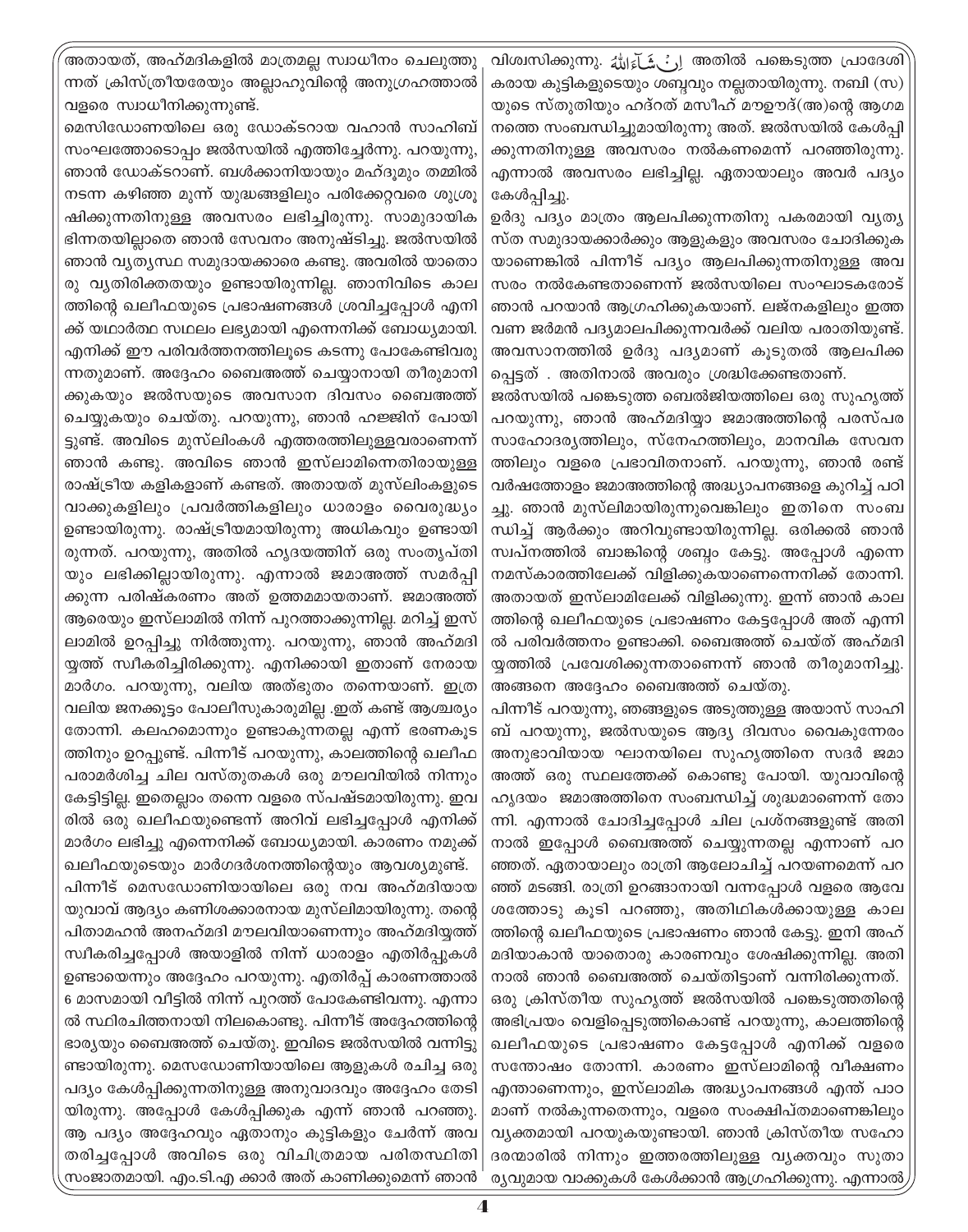അതായത്, അഹ്മദികളിൽ മാത്രമല്ല സ്വാധീനം ചെലുത്തു ന്നത് ക്രിസ്ത്രീയരേയും അല്ലാഹുവിന്റെ അനുഗ്രഹത്താൽ വളരെ സ്വാധീനിക്കുന്നുണ്ട്.

മെസിഡോണയിലെ ഒരു ഡോക്ടറായ വഹാൻ സാഹിബ് സംഘത്തോടൊപ്പം ജൽസയിൽ എത്തിച്ചേർന്നു. പറയുന്നു, ഞാൻ ഡോക്ടറാണ്. ബൾക്കാനിയായും മഹ്ദൂമും തമ്മിൽ നടന്ന കഴിഞ്ഞ മുന്ന് യുദ്ധങ്ങളിലും പരിക്കേറ്റവരെ ശുശ്രൂ ഷിക്കുന്നതിനുള്ള അവസരം ലഭിച്ചിരുന്നു. സാമുദായിക ഭിന്നതയില്ലാതെ ഞാൻ സേവനം അനുഷ്ടിച്ചു. ജൽസയിൽ ഞാൻ വ്യത്യസ്ഥ സമുദായക്കാരെ കണ്ടു. അവരിൽ യാതൊ രു വ്യതിരിക്തതയും ഉണ്ടായിരുന്നില്ല. ഞാനിവിടെ കാല ത്തിന്റെ ഖലീഫയുടെ പ്രഭാഷണങ്ങൾ ശ്രവിച്ചപ്പോൾ എനി ക്ക് യഥാർത്ഥ സഥലം ലഭ്യമായി എന്നെനിക്ക് ബോധ്യമായി. എനിക്ക് ഈ പരിവർത്തനത്തിലൂടെ കടന്നു പോകേണ്ടിവരു ന്നതുമാണ്. അദ്ദേഹം ബൈഅത്ത് ചെയ്യാനായി തീരുമാനി ക്കുകയും ജൽസയുടെ അവസാന ദിവസം ബൈഅത്ത് ചെയ്യുകയും ചെയ്തു. പറയുന്നു, ഞാൻ ഹജ്ജിന് പോയി ട്ടുണ്ട്. അവിടെ മുസ്ലിംകൾ എത്തരത്തിലുള്ളവരാണെന്ന് ഞാൻ കണ്ടു. അവിടെ ഞാൻ ഇസ്ലാമിന്നെതിരായുള്ള രാഷ്ട്രീയ കളികളാണ് കണ്ടത്. അതായത് മുസ്ലിംകളുടെ വാക്കുകളിലും പ്രവർത്തികളിലും ധാരാളം വൈരുദ്ധ്യം ഉണ്ടായിരുന്നു. രാഷ്ട്രീയമായിരുന്നു അധികവും ഉണ്ടായി രുന്നത്. പറയുന്നു, അതിൽ ഹൃദയത്തിന് ഒരു സംതൃപ്തി യും ലഭിക്കില്ലായിരുന്നു. എന്നാൽ ജമാഅത്ത് സമർപ്പി ക്കുന്ന പരിഷ്കരണം അത് ഉത്തമമായതാണ്. ജമാഅത്ത് ആരെയും ഇസ്ലാമിൽ നിന്ന് പുറത്താക്കുന്നില്ല. മറിച്ച് ഇസ് ലാമിൽ ഉറപ്പിച്ചു നിർത്തുന്നു. പറയുന്നു, ഞാൻ അഹ്മദി യ്യത്ത് സ്വീകരിച്ചിരിക്കുന്നു. എനിക്കായി ഇതാണ് നേരായ മാർഗം. പറയുന്നു, വലിയ അത്ഭുതം തന്നെയാണ്. ഇത്ര വലിയ ജനക്കുട്ടം പോലീസുകാരുമില്ല .ഇത് കണ്ട് ആശ്ചര്യം തോന്നി. കലഹമൊന്നും ഉണ്ടാകുന്നതല്ല എന്ന് ഭരണകൂട ത്തിനും ഉറപ്പുണ്ട്. പിന്നീട് പറയുന്നു, കാലത്തിന്റെ ഖലീഫ പരാമർശിച്ച ചില വസ്തുതകൾ ഒരു മൗലവിയിൽ നിന്നും കേട്ടിട്ടില്ല. ഇതെല്ലാം തന്നെ വളരെ സ്പഷ്ടമായിരുന്നു. ഇവ രിൽ ഒരു ഖലീഫയുണ്ടെന്ന് അറിവ് ലഭിച്ചപ്പോൾ എനിക്ക് മാർഗം ലഭിച്ചു എന്നെനിക്ക് ബോധ്യമായി. കാരണം നമുക്ക് ഖലീഫയുടെയും മാർഗദർശനത്തിന്റെയും ആവശ്യമുണ്ട്. പിന്നീട് മെസഡോണിയായിലെ ഒരു നവ അഹ്മദിയായ യുവാവ് ആദ്യം കണിശക്കാരനായ മുസ്ലിമായിരുന്നു. തന്റെ പിതാമഹൻ അനഹ്മദി മൗലവിയാണെന്നും അഹ്മദിയ്യത്ത് സ്വീകരിച്ചപ്പോൾ അയാളിൽ നിന്ന് ധാരാളം എതിർപ്പുകൾ ഉണ്ടായെന്നും അദ്ദേഹം പറയുന്നു. എതിർപ്പ് കാരണത്താൽ 6 മാസമായി വീട്ടിൽ നിന്ന് പുറത്ത് പോകേണ്ടിവന്നു. എന്നാ ൽ സ്ഥിരചിത്തനായി നിലകൊണ്ടു. പിന്നീട് അദ്ദേഹത്തിന്റെ ഭാര്യയും ബൈഅത്ത് ചെയ്തു. ഇവിടെ ജൽസയിൽ വന്നിട്ടു ണ്ടായിരുന്നു. മെസഡോണിയായിലെ ആളുകൾ രചിച്ച ഒരു പദ്യം കേൾപ്പിക്കുന്നതിനുള്ള അനുവാദവും അദ്ദേഹം തേടി യിരുന്നു. അപ്പോൾ കേൾപ്പിക്കുക എന്ന് ഞാൻ പറഞ്ഞു. ആ പദ്യം അദ്ദേഹവും ഏതാനും കുട്ടികളും ചേർന്ന് അവ തരിച്ചപ്പോൾ അവിടെ ഒരു വിചിത്രമായ പരിതസ്ഥിതി സംജാതമായി. എം.ടി.എ ക്കാർ അത് കാണിക്കുമെന്ന് ഞാൻ

വിശ്വസിക്കുന്നു. اِنْ شَـآءَاللّٰهُ അതിൽ പങ്കെടുത്ത പ്രാദേശി കരായ കുട്ടികളുടെയും ശബ്ബവും നല്ലതായിരുന്നു. നബി (സ) യുടെ സ്തുതിയും ഹദ്റത് മസീഹ് മൗഊദ്(അ)ന്റെ ആഗമ നത്തെ സംബന്ധിച്ചുമായിരുന്നു അത്. ജൽസയിൽ കേൾപ്പി ക്കുന്നതിനുള്ള അവസരം നൽകണമെന്ന് പറഞ്ഞിരുന്നു. എന്നാൽ അവസരം ലഭിച്ചില്ല. ഏതായാലും അവർ പദ്യം കേൾപ്പിച്ചു.

ഉർദു പദ്യം മാത്രം ആലപിക്കുന്നതിനു പകരമായി വ്യത്യ സ്ത സമുദായക്കാർക്കും ആളുകളും അവസരം ചോദിക്കുക യാണെങ്കിൽ പിന്നീട് പദ്യം ആലപിക്കുന്നതിനുള്ള അവ സരം നൽകേണ്ടതാണെന്ന് ജൽസയിലെ സംഘാടകരോട് ഞാൻ പറയാൻ ആഗ്രഹിക്കുകയാണ്. ലജ്നകളിലും ഇത്ത വണ ജർമൻ പദ്യമാലപിക്കുന്നവർക്ക് വലിയ പരാതിയുണ്ട്. അവസാനത്തിൽ ഉർദു പദ്യമാണ് കൂടുതൽ ആലപിക്ക പ്പെട്ടത് . അതിനാൽ അവരും ശ്രദ്ധിക്കേണ്ടതാണ്.

ജൽസയിൽ പങ്കെടുത്ത ബെൽജിയത്തിലെ ഒരു സുഹൃത്ത് പറയുന്നു, ഞാൻ അഹ്മദിയ്യാ ജമാഅത്തിന്റെ പരസ്പര സാഹോദര്യത്തിലും, സ്നേഹത്തിലും, മാനവിക സേവന ത്തിലും വളരെ പ്രഭാവിതനാണ്. പറയുന്നു, ഞാൻ രണ്ട് വർഷത്തോളം ജമാഅത്തിന്റെ അദ്ധ്യാപനങ്ങളെ കുറിച്ച് പഠി ച്ചു. ഞാൻ മുസ്ലിമായിരുന്നുവെങ്കിലും ഇതിനെ സംബ ന്ധിച്ച് ആർക്കും അറിവുണ്ടായിരുന്നില്ല. ഒരിക്കൽ ഞാൻ സ്വപ്നത്തിൽ ബാങ്കിന്റെ ശബ്ബം കേട്ടു. അപ്പോൾ എന്നെ നമസ്കാരത്തിലേക്ക് വിളിക്കുകയാണെന്നെനിക്ക് തോന്നി. അതായത് ഇസ്ലാമിലേക്ക് വിളിക്കുന്നു. ഇന്ന് ഞാൻ കാല ത്തിന്റെ ഖലീഫയുടെ പ്രഭാഷണം കേട്ടപ്പോൾ അത് എന്നി ൽ പരിവർത്തനം ഉണ്ടാക്കി. ബൈഅത്ത് ചെയ്ത് അഹ്മദി യ്യത്തിൽ പ്രവേശിക്കുന്നതാണെന്ന് ഞാൻ തീരുമാനിച്ചു. അങ്ങനെ അദ്ദേഹം ബൈഅത്ത് ചെയ്തു.

പിന്നീട് പറയുന്നു, ഞങ്ങളുടെ അടുത്തുള്ള അയാസ് സാഹി ബ് പറയുന്നു, ജൽസയുടെ ആദ്യ ദിവസം വൈകുന്നേരം അനുഭാവിയായ ഘാനയിലെ സുഹൃത്തിനെ സദർ ജമാ അത്ത് ഒരു സ്ഥലത്തേക്ക് കൊണ്ടു പോയി. യുവാവിന്റെ ഹൃദയം ജമാഅത്തിനെ സംബന്ധിച്ച് ശുദ്ധമാണെന്ന് തോ ന്നി. എന്നാൽ ചോദിച്ചപ്പോൾ ചില പ്രശ്നങ്ങളുണ്ട് അതി നാൽ ഇപ്പോൾ ബൈഅത്ത് ചെയ്യുന്നതല്ല എന്നാണ് പറ ഞ്ഞത്. ഏതായാലും രാത്രി ആലോചിച്ച് പറയണമെന്ന് പറ ഞ്ഞ് മടങ്ങി. രാത്രി ഉറങ്ങാനായി വന്നപ്പോൾ വളരെ ആവേ ശത്തോടു കൂടി പറഞ്ഞു, അതിഥികൾക്കായുള്ള കാല ത്തിന്റെ ഖലീഫയുടെ പ്രഭാഷണം ഞാൻ കേട്ടു. ഇനി അഹ് മദിയാകാൻ യാതൊരു കാരണവും ശേഷിക്കുന്നില്ല. അതി നാൽ ഞാൻ ബൈഅത്ത് ചെയ്തിട്ടാണ് വന്നിരിക്കുന്നത്. ഒരു ക്രിസ്തീയ സുഹൃത്ത് ജൽസയിൽ പങ്കെടുത്തതിന്റെ അഭിപ്രയം വെളിപ്പെടുത്തികൊണ്ട് പറയുന്നു, കാലത്തിന്റെ ഖലീഫയുടെ പ്രഭാഷണം കേട്ടപ്പോൾ എനിക്ക് വളരെ സന്തോഷം തോന്നി. കാരണം ഇസ്ലാമിന്റെ വീക്ഷണം എന്താണെന്നും, ഇസ്ലാമിക അദ്ധ്യാപനങ്ങൾ എന്ത് പാഠ മാണ് നൽകുന്നതെന്നും, വളരെ സംക്ഷിപ്തമാണെങ്കിലും വ്യക്തമായി പറയുകയുണ്ടായി. ഞാൻ ക്രിസ്തീയ സഹോ ദരന്മാരിൽ നിന്നും ഇത്തരത്തിലുള്ള വൃക്തവും സുതാ ര്യവുമായ വാക്കുകൾ കേൾക്കാൻ ആഗ്രഹിക്കുന്നു. എന്നാൽ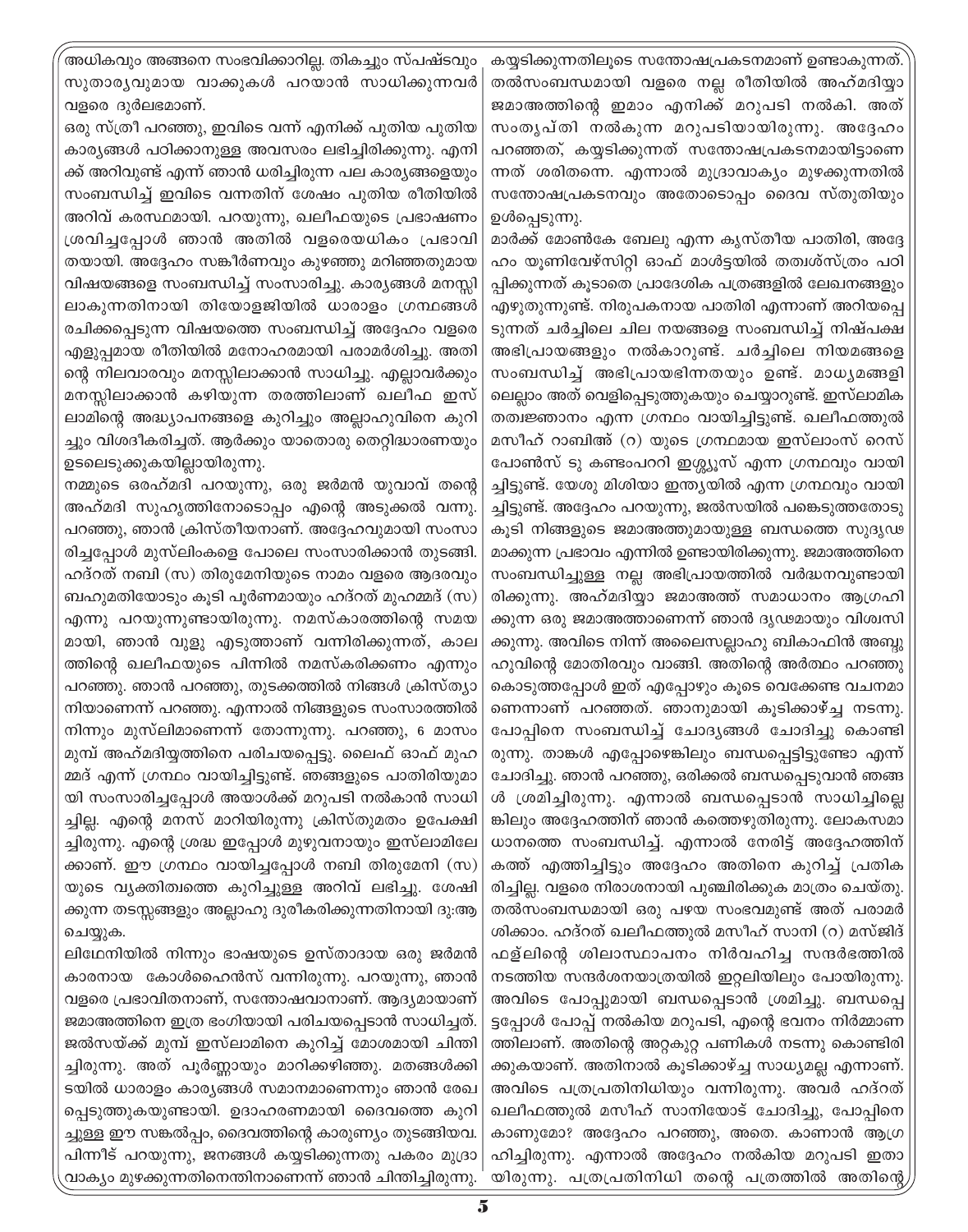അധികവും അങ്ങനെ സംഭവിക്കാറില്ല. തികച്ചും സ്പഷ്ടവും സുതാര്യവുമായ വാക്കുകൾ പറയാൻ സാധിക്കുന്നവർ വളരെ ദുർലഭമാണ്.

ഒരു സ്ത്രീ പറഞ്ഞു, ഇവിടെ വന്ന് എനിക്ക് പുതിയ പുതിയ കാര്യങ്ങൾ പഠിക്കാനുള്ള അവസരം ലഭിച്ചിരിക്കുന്നു. എനി ക്ക് അറിവുണ്ട് എന്ന് ഞാൻ ധരിച്ചിരുന്ന പല കാര്യങ്ങളെയും സംബന്ധിച്ച് ഇവിടെ വന്നതിന് ശേഷം പുതിയ രീതിയിൽ അറിവ് കരസ്ഥമായി. പറയുന്നു, ഖലീഫയുടെ പ്രഭാഷണം ശ്രവിച്ചപ്പോൾ ഞാൻ അതിൽ വളരെയധികം പ്രഭാവി തയായി. അദ്ദേഹം സങ്കീർണവും കുഴഞ്ഞു മറിഞ്ഞതുമായ വിഷയങ്ങളെ സംബന്ധിച്ച് സംസാരിച്ചു. കാര്യങ്ങൾ മനസ്സി ലാകുന്നതിനായി തിയോളജിയിൽ ധാരാളം ഗ്രന്ഥങ്ങൾ രചിക്കപ്പെടുന്ന വിഷയത്തെ സംബന്ധിച്ച് അദ്ദേഹം വളരെ എളുപ്പമായ രീതിയിൽ മനോഹരമായി പരാമർശിച്ചു. അതി ന്റെ നിലവാരവും മനസ്സിലാക്കാൻ സാധിച്ചു. എല്ലാവർക്കും മനസ്സിലാക്കാൻ കഴിയുന്ന തരത്തിലാണ് ഖലീഫ ഇസ് ലാമിന്റെ അദ്ധ്യാപനങ്ങളെ കുറിച്ചും അല്ലാഹുവിനെ കുറി ച്ചും വിശദീകരിച്ചത്. ആർക്കും യാതൊരു തെറ്റിദ്ധാരണയും ഉടലെടുക്കുകയില്ലായിരുന്നു.

നമ്മുടെ ഒരഹ്മദി പറയുന്നു, ഒരു ജർമൻ യുവാവ് തന്റെ അഹ്മദി സുഹൃത്തിനോടൊപ്പം എന്റെ അടുക്കൽ വന്നു. പറഞ്ഞു, ഞാൻ ക്രിസ്തീയനാണ്. അദ്ദേഹവുമായി സംസാ രിച്ചപ്പോൾ മുസ്ലിംകളെ പോലെ സംസാരിക്കാൻ തുടങ്ങി. ഹദ്റത് നബി (സ) തിരുമേനിയുടെ നാമം വളരെ ആദരവും ബഹുമതിയോടും കൂടി പൂർണമായും ഹദ്റത് മുഹമ്മദ് (സ) എന്നു പറയുന്നുണ്ടായിരുന്നു. നമസ്കാരത്തിന്റെ സമയ മായി, ഞാൻ വുളു എടുത്താണ് വന്നിരിക്കുന്നത്, കാല ത്തിന്റെ ഖലീഫയുടെ പിന്നിൽ നമസ്കരിക്കണം എന്നും പറഞ്ഞു. ഞാൻ പറഞ്ഞു, തുടക്കത്തിൽ നിങ്ങൾ ക്രിസ്ത്യാ നിയാണെന്ന് പറഞ്ഞു. എന്നാൽ നിങ്ങളുടെ സംസാരത്തിൽ നിന്നും മുസ്ലിമാണെന്ന് തോന്നുന്നു. പറഞ്ഞു, 6 മാസം മുമ്പ് അഹ്മദിയ്യത്തിനെ പരിചയപ്പെട്ടു. ലൈഫ് ഓഫ് മുഹ മ്മദ് എന്ന് ഗ്രന്ഥം വായിച്ചിട്ടുണ്ട്. ഞങ്ങളുടെ പാതിരിയുമാ യി സംസാരിച്ചപ്പോൾ അയാൾക്ക് മറുപടി നൽകാൻ സാധി ച്ചില്ല. എന്റെ മനസ് മാറിയിരുന്നു ക്രിസ്തുമതം ഉപേക്ഷി ച്ചിരുന്നു. എന്റെ ശ്രദ്ധ ഇപ്പോൾ മുഴുവനായും ഇസ്ലാമിലേ ക്കാണ്. ഈ ഗ്രന്ഥം വായിച്ചപ്പോൾ നബി തിരുമേനി (സ) യുടെ വ്യക്തിത്വത്തെ കുറിച്ചുള്ള അറിവ് ലഭിച്ചു. ശേഷി ക്കുന്ന തടസ്സങ്ങളും അല്ലാഹു ദുരീകരിക്കുന്നതിനായി ദു:ആ ചെയ്യുക.

ലിഥേനിയിൽ നിന്നും ഭാഷയുടെ ഉസ്താദായ ഒരു ജർമൻ കാരനായ കോൾഹൈൻസ് വന്നിരുന്നു. പറയുന്നു, ഞാൻ വളരെ പ്രഭാവിതനാണ്, സന്തോഷവാനാണ്. ആദ്യമായാണ് ജമാഅത്തിനെ ഇത്ര ഭംഗിയായി പരിചയപ്പെടാൻ സാധിച്ചത്. ജൽസയ്ക്ക് മുമ്പ് ഇസ്ലാമിനെ കുറിച്ച് മോശമായി ചിന്തി ച്ചിരുന്നു. അത് പൂർണ്ണായും മാറിക്കഴിഞ്ഞു. മതങ്ങൾക്കി ടയിൽ ധാരാളം കാര്യങ്ങൾ സമാനമാണെന്നും ഞാൻ രേഖ പ്പെടുത്തുകയുണ്ടായി. ഉദാഹരണമായി ദൈവത്തെ കുറി ച്ചുള്ള ഈ സങ്കൽപ്പം, ദൈവത്തിന്റെ കാരുണ്യം തുടങ്ങിയവ. പിന്നീട് പറയുന്നു, ജനങ്ങൾ കയ്യടിക്കുന്നതു പകരം മുദ്രാ വാക്യം മുഴക്കുന്നതിനെന്തിനാണെന്ന് ഞാൻ ചിന്തിച്ചിരുന്നു.

കയ്യടിക്കുന്നതിലൂടെ സന്തോഷപ്രകടനമാണ് ഉണ്ടാകുന്നത്. തൽസംബന്ധമായി വളരെ നല്ല രീതിയിൽ അഹ്മദിയ്യാ ജമാഅത്തിന്റെ ഇമാം എനിക്ക് മറുപടി നൽകി. അത് സംതൃപ്തി നൽകുന്ന മറുപടിയായിരുന്നു. അദ്ദേഹം പറഞ്ഞത്, കയ്യടിക്കുന്നത് സന്തോഷപ്രകടനമായിട്ടാണെ ന്നത് ശരിതന്നെ. എന്നാൽ മുദ്രാവാക്യം മുഴക്കുന്നതിൽ സന്തോഷപ്രകടനവും അതോടൊപ്പം ദൈവ സ്തുതിയും ഉൾപ്പെടുന്നു.

മാർക്ക് മോൺകേ ബേലു എന്ന കൃസ്തീയ പാതിരി, അദ്ദേ ഹം യൂണിവേഴ്സിറ്റി ഓഫ് മാൾട്ടയിൽ തത്വശ്സ്ത്രം പഠി പ്പിക്കുന്നത് കൂടാതെ പ്രാദേശിക പത്രങ്ങളിൽ ലേഖനങ്ങളും എഴുതുന്നുണ്ട്. നിരുപകനായ പാതിരി എന്നാണ് അറിയപ്പെ ടുന്നത് ചർച്ചിലെ ചില നയങ്ങളെ സംബന്ധിച്ച് നിഷ്പക്ഷ അഭിപ്രായങ്ങളും നൽകാറുണ്ട്. ചർച്ചിലെ നിയമങ്ങളെ സംബന്ധിച്ച് അഭിപ്രായഭിന്നതയും ഉണ്ട്. മാധ്യമങ്ങളി ലെല്ലാം അത് വെളിപ്പെടുത്തുകയും ചെയ്യാറുണ്ട്. ഇസ്ലാമിക തത്വജ്ഞാനം എന്ന ഗ്രന്ഥം വായിച്ചിട്ടുണ്ട്. ഖലീഫത്തുൽ മസീഹ് റാബിഅ് (റ) യുടെ ഗ്രന്ഥമായ ഇസ്ലാംസ് റെസ് പോൺസ് ടു കണ്ടംപററി ഇശ്ശ്യൂസ് എന്ന ഗ്രന്ഥവും വായി ച്ചിട്ടുണ്ട്. യേശു മിശിയാ ഇന്ത്യയിൽ എന്ന ഗ്രന്ഥവും വായി ച്ചിട്ടുണ്ട്. അദ്ദേഹം പറയുന്നു, ജൽസയിൽ പങ്കെടുത്തതോടു കൂടി നിങ്ങളുടെ ജമാഅത്തുമായുള്ള ബന്ധത്തെ സുദൃഢ മാക്കുന്ന പ്രഭാവം എന്നിൽ ഉണ്ടായിരിക്കുന്നു. ജമാഅത്തിനെ സംബന്ധിച്ചുള്ള നല്ല അഭിപ്രായത്തിൽ വർദ്ധനവുണ്ടായി രിക്കുന്നു. അഹ്മദിയ്യാ ജമാഅത്ത് സമാധാനം ആഗ്രഹി ക്കുന്ന ഒരു ജമാഅത്താണെന്ന് ഞാൻ ദൃഢമായും വിശ്വസി ക്കുന്നു. അവിടെ നിന്ന് അലൈസല്ലാഹു ബികാഫിൻ അബ്ബു ഹുവിന്റെ മോതിരവും വാങ്ങി. അതിന്റെ അർത്ഥം പറഞ്ഞു കൊടുത്തപ്പോൾ ഇത് എപ്പോഴും കൂടെ വെക്കേണ്ട വചനമാ ണെന്നാണ് പറഞ്ഞത്. ഞാനുമായി കുടിക്കാഴ്ച്ച നടന്നു. പോപ്പിനെ സംബന്ധിച്ച് ചോദ്യങ്ങൾ ചോദിച്ചു കൊണ്ടി രുന്നു. താങ്കൾ എപ്പോഴെങ്കിലും ബന്ധപ്പെട്ടിട്ടുണ്ടോ എന്ന് ചോദിച്ചു. ഞാൻ പറഞ്ഞു, ഒരിക്കൽ ബന്ധപ്പെടുവാൻ ഞങ്ങ ൾ ശ്രമിച്ചിരുന്നു. എന്നാൽ ബന്ധപ്പെടാൻ സാധിച്ചില്ലെ ങ്കിലും അദ്ദേഹത്തിന് ഞാൻ കത്തെഴുതിരുന്നു. ലോകസമാ ധാനത്തെ സംബന്ധിച്ച്. എന്നാൽ നേരിട്ട് അദ്ദേഹത്തിന് കത്ത് എത്തിച്ചിട്ടും അദ്ദേഹം അതിനെ കുറിച്ച് പ്രതിക രിച്ചില്ല. വളരെ നിരാശനായി പുഞ്ചിരിക്കുക മാത്രം ചെയ്തു. തൽസംബന്ധമായി ഒരു പഴയ സംഭവമുണ്ട് അത് പരാമർ ശിക്കാം. ഹദ്റത് ഖലീഫത്തുൽ മസീഹ് സാനി (റ) മസ്ജിദ് ഫള്ലിന്റെ ശിലാസ്ഥാപനം നിർവഹിച്ച സന്ദർഭത്തിൽ നടത്തിയ സന്ദർശനയാത്രയിൽ ഇറ്റലിയിലും പോയിരുന്നു. അവിടെ പോപ്പുമായി ബന്ധപ്പെടാൻ ശ്രമിച്ചു. ബന്ധപ്പെ ട്ടപ്പോൾ പോപ്പ് നൽകിയ മറുപടി, എന്റെ ഭവനം നിർമ്മാണ ത്തിലാണ്. അതിന്റെ അറ്റകുറ്റ പണികൾ നടന്നു കൊണ്ടിരി ക്കുകയാണ്. അതിനാൽ കൂടിക്കാഴ്ച്ച സാധ്യമല്ല എന്നാണ്. അവിടെ പത്രപ്രതിനിധിയും വന്നിരുന്നു. അവർ ഹദ്റത് ഖലീഫത്തുൽ മസീഹ് സാനിയോട് ചോദിച്ചു, പോപ്പിനെ കാണുമോ? അദ്ദേഹം പറഞ്ഞു, അതെ. കാണാൻ ആഗ്ര ഹിച്ചിരുന്നു. എന്നാൽ അദ്ദേഹം നൽകിയ മറുപടി ഇതാ യിരുന്നു. പത്രപ്രതിനിധി തന്റെ പത്രത്തിൽ അതിന്റെ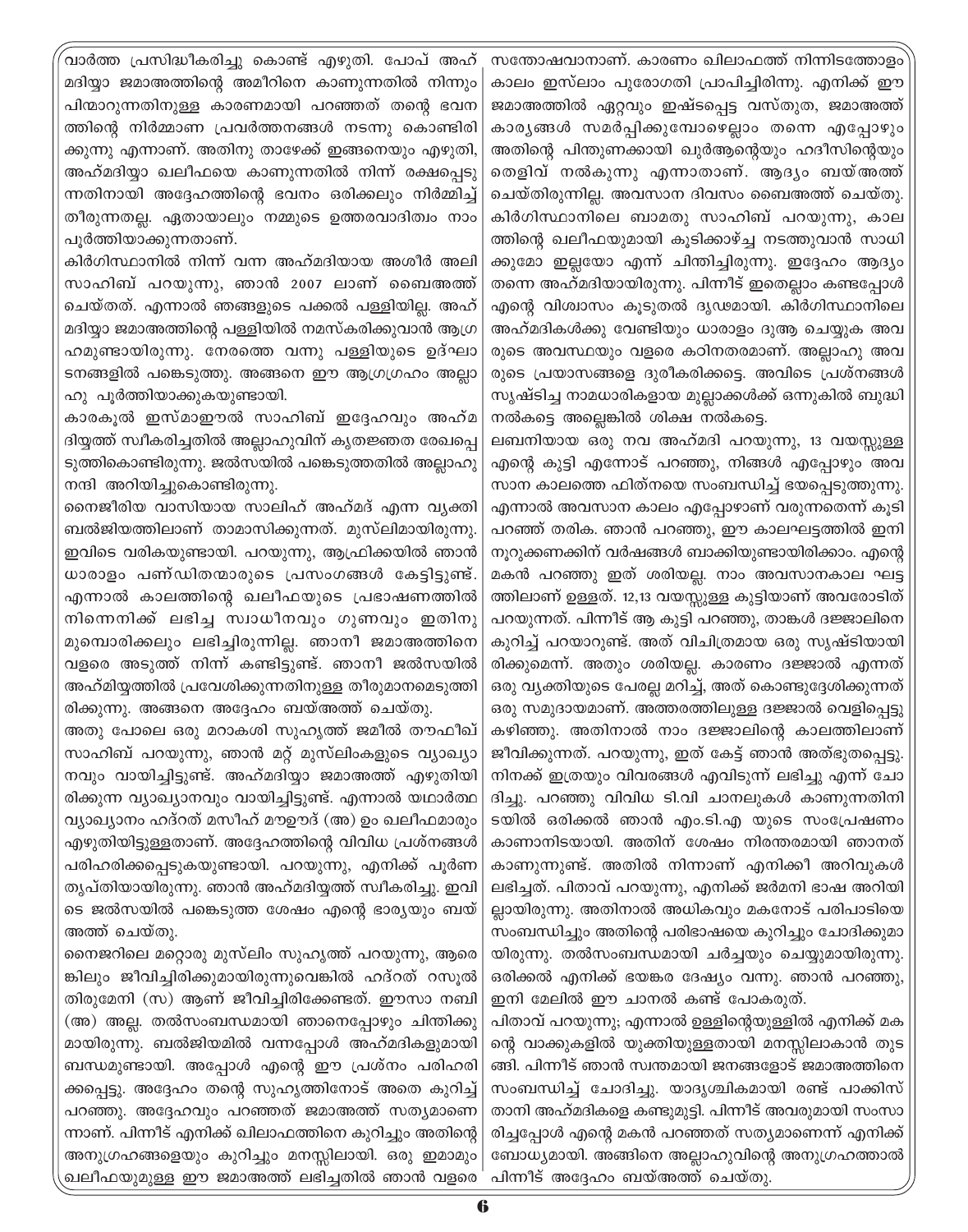വാർത്ത പ്രസിദ്ധീകരിച്ചു കൊണ്ട് എഴുതി. പോപ് അഹ് മദിയ്യാ ജമാഅത്തിന്റെ അമീറിനെ കാണുന്നതിൽ നിന്നും പിന്മാറുന്നതിനുള്ള കാരണമായി പറഞ്ഞത് തന്റെ ഭവന ത്തിന്റെ നിർമ്മാണ പ്രവർത്തനങ്ങൾ നടന്നു കൊണ്ടിരി ക്കുന്നു എന്നാണ്. അതിനു താഴേക്ക് ഇങ്ങനെയും എഴുതി, അഹ്മദിയ്യാ ഖലീഫയെ കാണുന്നതിൽ നിന്ന് രക്ഷപ്പെടു ന്നതിനായി അദ്ദേഹത്തിന്റെ ഭവനം ഒരിക്കലും നിർമ്മിച്ച് തീരുന്നതല്ല. ഏതായാലും നമ്മുടെ ഉത്തരവാദിത്വം നാം പൂർത്തിയാക്കുന്നതാണ്.

കിർഗിസ്ഥാനിൽ നിന്ന് വന്ന അഹ്മദിയായ അശീർ അലി സാഹിബ് പറയുന്നു, ഞാൻ 2007 ലാണ് ബൈഅത്ത് ചെയ്തത്. എന്നാൽ ഞങ്ങളുടെ പക്കൽ പള്ളിയില്ല. അഹ് മദിയ്യാ ജമാഅത്തിന്റെ പള്ളിയിൽ നമസ്കരിക്കുവാൻ ആഗ്ര ഹമുണ്ടായിരുന്നു. നേരത്തെ വന്നു പള്ളിയുടെ ഉദ്ഘാ ടനങ്ങളിൽ പങ്കെടുത്തു. അങ്ങനെ ഈ ആഗ്രഗ്രഹം അല്ലാ ഹു പൂർത്തിയാക്കുകയുണ്ടായി.

കാരകൂൽ ഇസ്മാഈൽ സാഹിബ് ഇദ്ദേഹവും അഹ്മ ദിയ്യത്ത് സ്വീകരിച്ചതിൽ അല്ലാഹുവിന് കൃതജ്ഞത രേഖപ്പെ ടുത്തികൊണ്ടിരുന്നു. ജൽസയിൽ പങ്കെടുത്തതിൽ അല്ലാഹു നന്ദി അറിയിച്ചുകൊണ്ടിരുന്നു.

നൈജീരിയ വാസിയായ സാലിഹ് അഹ്മദ് എന്ന വ്യക്തി ബൽജിയത്തിലാണ് താമാസിക്കുന്നത്. മുസ്ലിമായിരുന്നു. ഇവിടെ വരികയുണ്ടായി. പറയുന്നു, ആഫ്രിക്കയിൽ ഞാൻ ധാരാളം പണ്ഡിതന്മാരുടെ പ്രസംഗങ്ങൾ കേട്ടിട്ടുണ്ട്. എന്നാൽ കാലത്തിന്റെ ഖലീഫയുടെ പ്രഭാഷണത്തിൽ നിന്നെനിക്ക് ലഭിച്ച സ്വാധീനവും ഗുണവും ഇതിനു മുമ്പൊരിക്കലും ലഭിച്ചിരുന്നില്ല. ഞാനീ ജമാഅത്തിനെ വളരെ അടുത്ത് നിന്ന് കണ്ടിട്ടുണ്ട്. ഞാനീ ജൽസയിൽ അഹ്മിയ്യത്തിൽ പ്രവേശിക്കുന്നതിനുള്ള തീരുമാനമെടുത്തി രിക്കുന്നു. അങ്ങനെ അദ്ദേഹം ബയ്അത്ത് ചെയ്തു.

അതു പോലെ ഒരു മറാകശി സുഹൃത്ത് ജമീൽ തൗഫീഖ് സാഹിബ് പറയുന്നു, ഞാൻ മറ്റ് മുസ്ലിംകളുടെ വ്യാഖ്യാ നവും വായിച്ചിട്ടുണ്ട്. അഹ്മദിയ്യാ ജമാഅത്ത് എഴുതിയി രിക്കുന്ന വ്യാഖ്യാനവും വായിച്ചിട്ടുണ്ട്. എന്നാൽ യഥാർത്ഥ വ്യാഖ്യാനം ഹദ്റത് മസീഹ് മൗഊദ് (അ) ഉം ഖലീഫമാരും എഴുതിയിട്ടുള്ളതാണ്. അദ്ദേഹത്തിന്റെ വിവിധ പ്രശ്നങ്ങൾ പരിഹരിക്കപ്പെടുകയുണ്ടായി. പറയുന്നു, എനിക്ക് പൂർണ തൃപ്തിയായിരുന്നു. ഞാൻ അഹ്മദിയ്യത്ത് സ്വീകരിച്ചു. ഇവി ടെ ജൽസയിൽ പങ്കെടുത്ത ശേഷം എന്റെ ഭാര്യയും ബയ് അത്ത് ചെയ്തു.

നൈജറിലെ മറ്റൊരു മുസ്ലിം സുഹൃത്ത് പറയുന്നു, ആരെ ങ്കിലും ജീവിച്ചിരിക്കുമായിരുന്നുവെങ്കിൽ ഹദ്റത് റസൂൽ തിരുമേനി (സ) ആണ് ജീവിച്ചിരിക്കേണ്ടത്. ഈസാ നബി (അ) അല്ല. തൽസംബന്ധമായി ഞാനെപ്പോഴും ചിന്തിക്കു മായിരുന്നു. ബൽജിയമിൽ വന്നപ്പോൾ അഹ്മദികളുമായി ബന്ധമുണ്ടായി. അപ്പോൾ എന്റെ ഈ പ്രശ്നം പരിഹരി ക്കപ്പെട്ടു. അദ്ദേഹം തന്റെ സുഹൃത്തിനോട് അതെ കുറിച്ച് പറഞ്ഞു. അദ്ദേഹവും പറഞ്ഞത് ജമാഅത്ത് സത്യമാണെ ന്നാണ്. പിന്നീട് എനിക്ക് ഖിലാഫത്തിനെ കുറിച്ചും അതിന്റെ അനുഗ്രഹങ്ങളെയും കുറിച്ചും മനസ്സിലായി. ഒരു ഇമാമും ഖലീഫയുമുള്ള ഈ ജമാഅത്ത് ലഭിച്ചതിൽ ഞാൻ വളരെ '

സന്തോഷവാനാണ്. കാരണം ഖിലാഫത്ത് നിന്നിടത്തോളം കാലം ഇസ്ലാം പുരോഗതി പ്രാപിച്ചിരിന്നു. എനിക്ക് ഈ ജമാഅത്തിൽ ഏറ്റവും ഇഷ്ടപ്പെട്ട വസ്തുത, ജമാഅത്ത് കാര്യങ്ങൾ സമർപ്പിക്കുമ്പോഴെല്ലാം തന്നെ എപ്പോഴും അതിന്റെ പിന്തുണക്കായി ഖുർആന്റെയും ഹദീസിന്റെയും തെളിവ് നൽകുന്നു എന്നാതാണ്. ആദ്യം ബയ്അത്ത് ചെയ്തിരുന്നില്ല. അവസാന ദിവസം ബൈഅത്ത് ചെയ്തു. കിർഗിസ്ഥാനിലെ ബാമതു സാഹിബ് പറയുന്നു, കാല ത്തിന്റെ ഖലീഫയുമായി കുടിക്കാഴ്ച്ച നടത്തുവാൻ സാധി ക്കുമോ ഇല്ലയോ എന്ന് ചിന്തിച്ചിരുന്നു. ഇദ്ദേഹം ആദ്യം തന്നെ അഹ്മദിയായിരുന്നു. പിന്നീട് ഇതെല്ലാം കണ്ടപ്പോൾ എന്റെ വിശ്വാസം കൂടുതൽ ദൃഢമായി. കിർഗിസ്ഥാനിലെ അഹ്മദികൾക്കു വേണ്ടിയും ധാരാളം ദുആ ചെയ്യുക അവ രുടെ അവസ്ഥയും വളരെ കഠിനതരമാണ്. അല്ലാഹു അവ രുടെ പ്രയാസങ്ങളെ ദുരീകരിക്കട്ടെ. അവിടെ പ്രശ്നങ്ങൾ സൃഷ്ടിച്ച നാമധാരികളായ മൂല്ലാക്കൾക്ക് ഒന്നുകിൽ ബൂദ്ധി നൽകട്ടെ അല്ലെങ്കിൽ ശിക്ഷ നൽകട്ടെ.

ലബനിയായ ഒരു നവ അഹ്മദി പറയുന്നു, 13 വയസ്സുള്ള എന്റെ കുട്ടി എന്നോട് പറഞ്ഞു, നിങ്ങൾ എപ്പോഴും അവ സാന കാലത്തെ ഫിത്നയെ സംബന്ധിച്ച് ഭയപ്പെടുത്തുന്നു. എന്നാൽ അവസാന കാലം എപ്പോഴാണ് വരുന്നതെന്ന് കൂടി പറഞ്ഞ് തരിക. ഞാൻ പറഞ്ഞു, ഈ കാലഘട്ടത്തിൽ ഇനി നുറുക്കണക്കിന് വർഷങ്ങൾ ബാക്കിയുണ്ടായിരിക്കാം. എന്റെ മകൻ പറഞ്ഞു ഇത് ശരിയല്ല. നാം അവസാനകാല ഘട്ട ത്തിലാണ് ഉള്ളത്. 12,13 വയസ്സുള്ള കുട്ടിയാണ് അവരോടിത് പറയുന്നത്. പിന്നീട് ആ കുട്ടി പറഞ്ഞു, താങ്കൾ ദജ്ജാലിനെ കുറിച്ച് പറയാറുണ്ട്. അത് വിചിത്രമായ ഒരു സൃഷ്ടിയായി രിക്കുമെന്ന്. അതും ശരിയല്ല. കാരണം ദജ്ജാൽ എന്നത് ഒരു വ്യക്തിയുടെ പേരല്ല മറിച്ച്, അത് കൊണ്ടുദ്ദേശിക്കുന്നത് ഒരു സമുദായമാണ്. അത്തരത്തിലുള്ള ദജ്ജാൽ വെളിപ്പെട്ടു കഴിഞ്ഞു. അതിനാൽ നാം ദജ്ജാലിന്റെ കാലത്തിലാണ് ജീവിക്കുന്നത്. പറയുന്നു, ഇത് കേട്ട് ഞാൻ അത്ഭുതപ്പെട്ടു. നിനക്ക് ഇത്രയും വിവരങ്ങൾ എവിടുന്ന് ലഭിച്ചു എന്ന് ചോ ദിച്ചു. പറഞ്ഞു വിവിധ ടി.വി ചാനലുകൾ കാണുന്നതിനി ടയിൽ ഒരിക്കൽ ഞാൻ എം.ടി.എ യുടെ സംപ്രേഷണം കാണാനിടയായി. അതിന് ശേഷം നിരന്തരമായി ഞാനത് കാണുന്നുണ്ട്. അതിൽ നിന്നാണ് എനിക്കീ അറിവുകൾ ലഭിച്ചത്. പിതാവ് പറയുന്നു, എനിക്ക് ജർമനി ഭാഷ അറിയി ല്ലായിരുന്നു. അതിനാൽ അധികവും മകനോട് പരിപാടിയെ സംബന്ധിച്ചും അതിന്റെ പരിഭാഷയെ കുറിച്ചും ചോദിക്കുമാ യിരുന്നു. തൽസംബന്ധമായി ചർച്ചയും ചെയ്യുമായിരുന്നു. ഒരിക്കൽ എനിക്ക് ഭയങ്കര ദേഷ്യം വന്നു. ഞാൻ പറഞ്ഞു, ഇനി മേലിൽ ഈ ചാനൽ കണ്ട് പോകരുത്.

പിതാവ് പറയുന്നു; എന്നാൽ ഉള്ളിന്റെയുള്ളിൽ എനിക്ക് മക ന്റെ വാക്കുകളിൽ യുക്തിയുള്ളതായി മനസ്സിലാകാൻ തുട ങ്ങി. പിന്നീട് ഞാൻ സ്വന്തമായി ജനങ്ങളോട് ജമാഅത്തിനെ സംബന്ധിച്ച് ചോദിച്ചു. യാദൃശ്ചികമായി രണ്ട് പാക്കിസ് താനി അഹ്മദികളെ കണ്ടുമുട്ടി. പിന്നീട് അവരുമായി സംസാ രിച്ചപ്പോൾ എന്റെ മകൻ പറഞ്ഞത് സത്യമാണെന്ന് എനിക്ക് ബോധ്യമായി. അങ്ങിനെ അല്ലാഹുവിന്റെ അനുഗ്രഹത്താൽ പിന്നീട് അദ്ദേഹം ബയ്അത്ത് ചെയ്തു.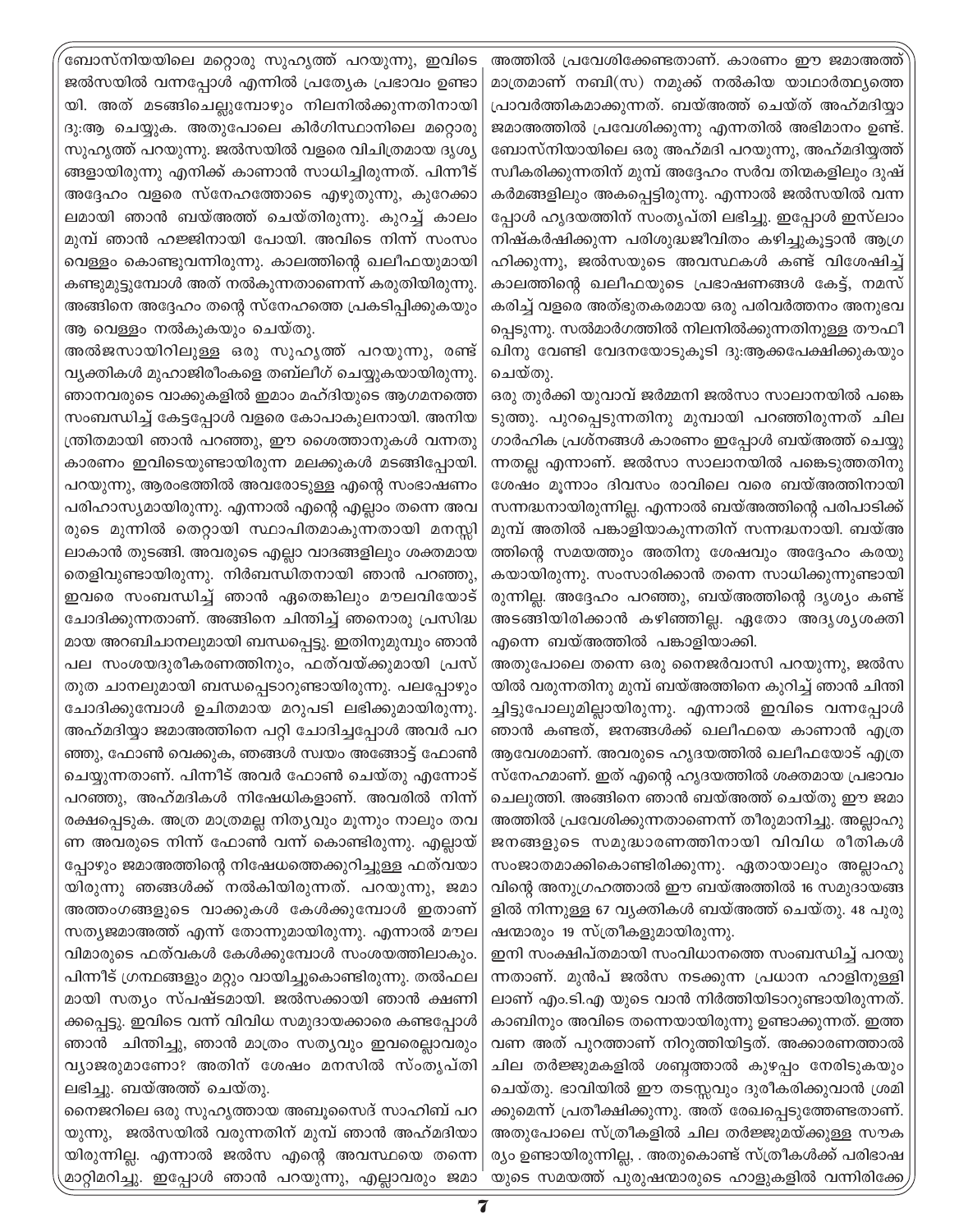ബോസ്നിയയിലെ മറ്റൊരു സുഹൃത്ത് പറയുന്നു, ഇവിടെ ജൽസയിൽ വന്നപ്പോൾ എന്നിൽ പ്രത്യേക പ്രഭാവം ഉണ്ടാ യി. അത് മടങ്ങിചെല്ലുമ്പോഴും നിലനിൽക്കുന്നതിനായി ദു:ആ ചെയ്യുക. അതുപോലെ കിർഗിസ്ഥാനിലെ മറ്റൊരു സുഹൃത്ത് പറയുന്നു. ജൽസയിൽ വളരെ വിചിത്രമായ ദൃശ്യ ങ്ങളായിരുന്നു എനിക്ക് കാണാൻ സാധിച്ചിരുന്നത്. പിന്നീട് അദ്ദേഹം വളരെ സ്നേഹത്തോടെ എഴുതുന്നു, കുറേക്കാ ലമായി ഞാൻ ബയ്അത്ത് ചെയ്തിരുന്നു. കുറച്ച് കാലം മുമ്പ് ഞാൻ ഹജ്ജിനായി പോയി. അവിടെ നിന്ന് സംസം വെള്ളം കൊണ്ടുവന്നിരുന്നു. കാലത്തിന്റെ ഖലീഫയുമായി കണ്ടുമുട്ടുമ്പോൾ അത് നൽകുന്നതാണെന്ന് കരുതിയിരുന്നു. അങ്ങിനെ അദ്ദേഹം തന്റെ സ്നേഹത്തെ പ്രകടിപ്പിക്കുകയും ആ വെള്ളം നൽകുകയും ചെയ്തു.

അൽജസായിറിലുള്ള ഒരു സുഹൃത്ത് പറയുന്നു, രണ്ട് വ്യക്തികൾ മുഹാജിരീംകളെ തബ്ലീഗ് ചെയ്യുകയായിരുന്നു. ഞാനവരുടെ വാക്കുകളിൽ ഇമാം മഹ്ദിയുടെ ആഗമനത്തെ സംബന്ധിച്ച് കേട്ടപ്പോൾ വളരെ കോപാകുലനായി. അനിയ ന്ത്രിതമായി ഞാൻ പറഞ്ഞു, ഈ ശൈത്താനുകൾ വന്നതു കാരണം ഇവിടെയുണ്ടായിരുന്ന മലക്കുകൾ മടങ്ങിപ്പോയി. പറയുന്നു, ആരംഭത്തിൽ അവരോടുള്ള എന്റെ സംഭാഷണം പരിഹാസ്യമായിരുന്നു. എന്നാൽ എന്റെ എല്ലാം തന്നെ അവ രുടെ മുന്നിൽ തെറ്റായി സ്ഥാപിതമാകുന്നതായി മനസ്സി ലാകാൻ തുടങ്ങി. അവരുടെ എല്ലാ വാദങ്ങളിലും ശക്തമായ തെളിവുണ്ടായിരുന്നു. നിർബന്ധിതനായി ഞാൻ പറഞ്ഞു, ഇവരെ സംബന്ധിച്ച് ഞാൻ ഏതെങ്കിലും മൗലവിയോട് ചോദിക്കുന്നതാണ്. അങ്ങിനെ ചിന്തിച്ച് ഞനൊരു പ്രസിദ്ധ മായ അറബിചാനലുമായി ബന്ധപ്പെട്ടു. ഇതിനുമുമ്പും ഞാൻ പല സംശയദുരീകരണത്തിനും, ഫത്വയ്ക്കുമായി പ്രസ് തുത ചാനലുമായി ബന്ധപ്പെടാറുണ്ടായിരുന്നു. പലപ്പോഴും ചോദിക്കുമ്പോൾ ഉചിതമായ മറുപടി ലഭിക്കുമായിരുന്നു. അഹ്മദിയ്യാ ജമാഅത്തിനെ പറ്റി ചോദിച്ചപ്പോൾ അവർ പറ ഞ്ഞു, ഫോൺ വെക്കുക, ഞങ്ങൾ സ്വയം അങ്ങോട്ട് ഫോൺ ചെയ്യുന്നതാണ്. പിന്നീട് അവർ ഫോൺ ചെയ്തു എന്നോട് പറഞ്ഞു, അഹ്മദികൾ നിഷേധികളാണ്. അവരിൽ നിന്ന് രക്ഷപ്പെടുക. അത്ര മാത്രമല്ല നിത്യവും മൂന്നും നാലും തവ ണ അവരുടെ നിന്ന് ഫോൺ വന്ന് കൊണ്ടിരുന്നു. എല്ലായ് പ്പോഴും ജമാഅത്തിന്റെ നിഷേധത്തെക്കുറിച്ചുള്ള ഫത്വയാ യിരുന്നു ഞങ്ങൾക്ക് നൽകിയിരുന്നത്. പറയുന്നു, ജമാ അത്തംഗങ്ങളുടെ വാക്കുകൾ കേൾക്കുമ്പോൾ ഇതാണ് സത്യജമാഅത്ത് എന്ന് തോന്നുമായിരുന്നു. എന്നാൽ മൗല വിമാരുടെ ഫത്വകൾ കേൾക്കുമ്പോൾ സംശയത്തിലാകും. പിന്നീട് ഗ്രന്ഥങ്ങളും മറ്റും വായിച്ചുകൊണ്ടിരുന്നു. തൽഫല മായി സത്യം സ്പഷ്ടമായി. ജൽസക്കായി ഞാൻ ക്ഷണി ക്കപ്പെട്ടു. ഇവിടെ വന്ന് വിവിധ സമുദായക്കാരെ കണ്ടപ്പോൾ ഞാൻ ചിന്തിച്ചു, ഞാൻ മാത്രം സത്യവും ഇവരെല്ലാവരും വ്യാജരുമാണോ? അതിന് ശേഷം മനസിൽ സ്ംതൃപ്തി ലഭിച്ചു. ബയ്അത്ത് ചെയ്തു.

നൈജറിലെ ഒരു സുഹൃത്തായ അബുസൈദ് സാഹിബ് പറ യുന്നു, ജൽസയിൽ വരുന്നതിന് മുമ്പ് ഞാൻ അഹ്മദിയാ യിരുന്നില്ല. എന്നാൽ ജൽസ എന്റെ അവസ്ഥയെ തന്നെ മാറ്റിമറിച്ചു. ഇപ്പോൾ ഞാൻ പറയുന്നു, എല്ലാവരും ജമാ

അത്തിൽ പ്രവേശിക്കേണ്ടതാണ്. കാരണം ഈ ജമാഅത്ത് മാത്രമാണ് നബി(സ) നമുക്ക് നൽകിയ യാഥാർത്ഥ്യത്തെ പ്രാവർത്തികമാക്കുന്നത്. ബയ്അത്ത് ചെയ്ത് അഹ്മദിയ്യാ ജമാഅത്തിൽ പ്രവേശിക്കുന്നു എന്നതിൽ അഭിമാനം ഉണ്ട്. ബോസ്നിയായിലെ ഒരു അഹ്മദി പറയുന്നു, അഹ്മദിയ്യത്ത് സ്വീകരിക്കുന്നതിന് മുമ്പ് അദ്ദേഹം സർവ തിന്മകളിലും ദുഷ് കർമങ്ങളിലും അകപ്പെട്ടിരുന്നു. എന്നാൽ ജൽസയിൽ വന്ന പ്പോൾ ഹൃദയത്തിന് സംതൃപ്തി ലഭിച്ചു. ഇപ്പോൾ ഇസ്ലാം നിഷ്കർഷിക്കുന്ന പരിശുദ്ധജീവിതം കഴിച്ചുകൂട്ടാൻ ആഗ്ര ഹിക്കുന്നു, ജൽസയുടെ അവസ്ഥകൾ കണ്ട് വിശേഷിച്ച് കാലത്തിന്റെ ഖലീഫയുടെ പ്രഭാഷണങ്ങൾ കേട്ട്, നമസ് കരിച്ച് വളരെ അത്ഭുതകരമായ ഒരു പരിവർത്തനം അനുഭവ പ്പെടുന്നു. സൽമാർഗത്തിൽ നിലനിൽക്കുന്നതിനുള്ള തൗഫീ ഖിനു വേണ്ടി വേദനയോടുകൂടി ദു:ആക്കപേക്ഷിക്കുകയും ചെയ്തു.

ഒരു തുർക്കി യുവാവ് ജർമ്മനി ജൽസാ സാലാനയിൽ പങ്കെ ടുത്തു. പുറപ്പെടുന്നതിനു മുമ്പായി പറഞ്ഞിരുന്നത് ചില ഗാർഹിക പ്രശ്നങ്ങൾ കാരണം ഇപ്പോൾ ബയ്അത്ത് ചെയ്യു ന്നതല്ല എന്നാണ്. ജൽസാ സാലാനയിൽ പങ്കെടുത്തതിനു ശേഷം മൂന്നാം ദിവസം രാവിലെ വരെ ബയ്അത്തിനായി സന്നദ്ധനായിരുന്നില്ല. എന്നാൽ ബയ്അത്തിന്റെ പരിപാടിക്ക് മുമ്പ് അതിൽ പങ്കാളിയാകുന്നതിന് സന്നദ്ധനായി. ബയ്അ ത്തിന്റെ സമയത്തും അതിനു ശേഷവും അദ്ദേഹം കരയു കയായിരുന്നു. സംസാരിക്കാൻ തന്നെ സാധിക്കുന്നുണ്ടായി രുന്നില്ല. അദ്ദേഹം പറഞ്ഞു, ബയ്അത്തിന്റെ ദൃശ്യം കണ്ട് അടങ്ങിയിരിക്കാൻ കഴിഞ്ഞില്ല. ഏതോ അദൃശൃശക്തി എന്നെ ബയ്അത്തിൽ പങ്കാളിയാക്കി.

അതുപോലെ തന്നെ ഒരു നൈജർവാസി പറയുന്നു, ജൽസ യിൽ വരുന്നതിനു മുമ്പ് ബയ്അത്തിനെ കുറിച്ച് ഞാൻ ചിന്തി ച്ചിട്ടുപോലുമില്ലായിരുന്നു. എന്നാൽ ഇവിടെ വന്നപ്പോൾ ഞാൻ കണ്ടത്, ജനങ്ങൾക്ക് ഖലീഫയെ കാണാൻ എത്ര ആവേശമാണ്. അവരുടെ ഹൃദയത്തിൽ ഖലീഫയോട് എത്ര സ്നേഹമാണ്. ഇത് എന്റെ ഹൃദയത്തിൽ ശക്തമായ പ്രഭാവം ചെലുത്തി. അങ്ങിനെ ഞാൻ ബയ്അത്ത് ചെയ്തു ഈ ജമാ അത്തിൽ പ്രവേശിക്കുന്നതാണെന്ന് തീരുമാനിച്ചു. അല്ലാഹു ജനങ്ങളുടെ സമുദ്ധാരണത്തിനായി വിവിധ രീതികൾ സംജാതമാക്കികൊണ്ടിരിക്കുന്നു. ഏതായാലും അല്ലാഹു വിന്റെ അനുഗ്രഹത്താൽ ഈ ബയ്അത്തിൽ 16 സമുദായങ്ങ ളിൽ നിന്നുള്ള 67 വ്യക്തികൾ ബയ്അത്ത് ചെയ്തു. 48 പുരു ഷന്മാരും 19 സ്ത്രീകളുമായിരുന്നു.

ഇനി സംക്ഷിപ്തമായി സംവിധാനത്തെ സംബന്ധിച്ച് പറയു ന്നതാണ്. മുൻപ് ജൽസ നടക്കുന്ന പ്രധാന ഹാളിനുള്ളി ലാണ് എം.ടി.എ യുടെ വാൻ നിർത്തിയിടാറുണ്ടായിരുന്നത്. കാബിനും അവിടെ തന്നെയായിരുന്നു ഉണ്ടാക്കുന്നത്. ഇത്ത വണ അത് പുറത്താണ് നിറുത്തിയിട്ടത്. അക്കാരണത്താൽ ചില തർജ്ജുമകളിൽ ശബ്ദത്താൽ കുഴപ്പം നേരിടുകയും ചെയ്തു. ഭാവിയിൽ ഈ തടസ്സവും ദുരീകരിക്കുവാൻ ശ്രമി ക്കുമെന്ന് പ്രതീക്ഷിക്കുന്നു. അത് രേഖപ്പെടുത്തേണ്ടതാണ്. അതുപോലെ സ്ത്രീകളിൽ ചില തർജ്ജുമയ്ക്കുള്ള സൗക ര്യം ഉണ്ടായിരുന്നില്ല, . അതുകൊണ്ട് സ്ത്രീകൾക്ക് പരിഭാഷ യുടെ സമയത്ത് പുരുഷന്മാരുടെ ഹാളുകളിൽ വന്നിരിക്കേ